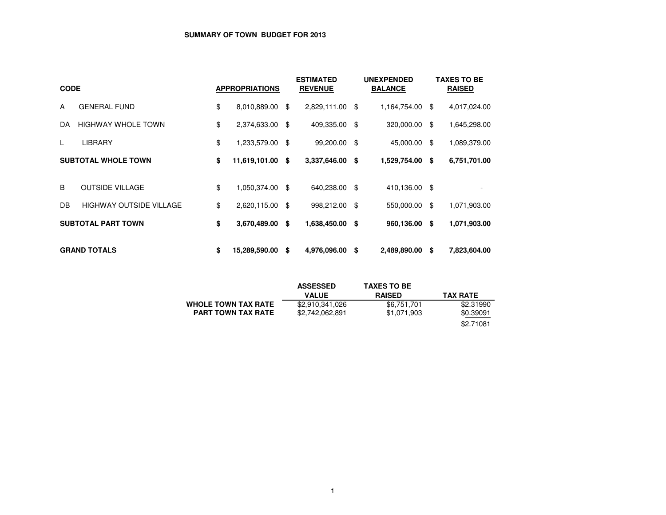# **SUMMARY OF TOWN BUDGET FOR 2013**

| <b>CODE</b> |                                |    | <b>APPROPRIATIONS</b> |      | <b>ESTIMATED</b><br><b>REVENUE</b> |      | <b>UNEXPENDED</b><br><b>BALANCE</b> |      | TAXES TO BE<br><b>RAISED</b> |
|-------------|--------------------------------|----|-----------------------|------|------------------------------------|------|-------------------------------------|------|------------------------------|
| A           | <b>GENERAL FUND</b>            | \$ | 8,010,889.00          | - \$ | 2,829,111.00 \$                    |      | 1,164,754.00                        | \$   | 4,017,024.00                 |
| DA          | <b>HIGHWAY WHOLE TOWN</b>      | \$ | 2,374,633.00 \$       |      | 409,335.00                         | - \$ | 320,000.00                          | -\$  | 1,645,298.00                 |
|             | <b>LIBRARY</b>                 | \$ | 1,233,579.00 \$       |      | 99,200.00                          | - \$ | 45,000.00                           | -\$  | 1,089,379.00                 |
|             | <b>SUBTOTAL WHOLE TOWN</b>     | \$ | 11,619,101.00 \$      |      | 3,337,646.00                       | - \$ | 1,529,754.00                        | - \$ | 6,751,701.00                 |
| B           | <b>OUTSIDE VILLAGE</b>         | \$ | 1,050,374.00 \$       |      | 640,238.00                         | - \$ | 410,136.00 \$                       |      |                              |
| DB.         | <b>HIGHWAY OUTSIDE VILLAGE</b> | \$ | 2,620,115.00 \$       |      | 998,212.00                         | - \$ | 550,000.00                          | \$   | 1,071,903.00                 |
|             | <b>SUBTOTAL PART TOWN</b>      | \$ | 3,670,489.00 \$       |      | 1,638,450.00                       | - \$ | 960,136.00                          | - \$ | 1,071,903.00                 |
|             | <b>GRAND TOTALS</b>            | \$ | 15,289,590.00         | - \$ | 4,976,096.00                       | \$   | 2,489,890.00                        | \$   | 7,823,604.00                 |

|                            | <b>ASSESSED</b> | <b>TAXES TO BE</b> |                 |
|----------------------------|-----------------|--------------------|-----------------|
|                            | <b>VALUE</b>    | <b>RAISED</b>      | <b>TAX RATE</b> |
| <b>WHOLE TOWN TAX RATE</b> | \$2,910,341,026 | \$6,751,701        | \$2,31990       |
| <b>PART TOWN TAX RATE</b>  | \$2,742,062,891 | \$1,071,903        | \$0.39091       |
|                            |                 |                    | \$2.71081       |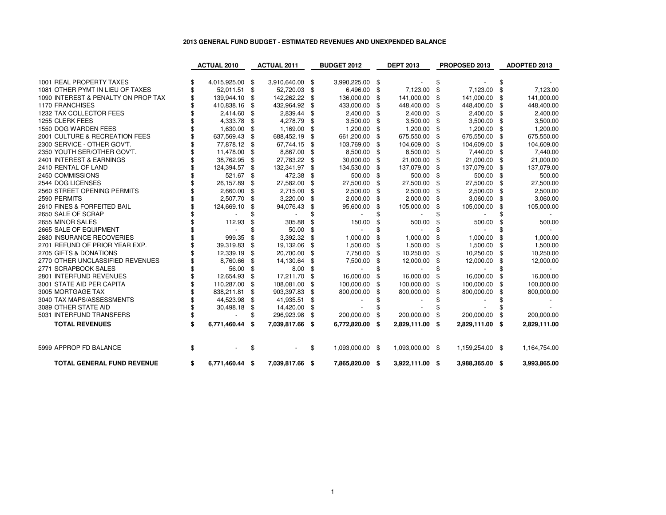# **2013 GENERAL FUND BUDGET - ESTIMATED REVENUES AND UNEXPENDED BALANCE**

|                                     | <b>ACTUAL 2010</b>    |     | <b>ACTUAL 2011</b> | <b>BUDGET 2012</b> |                 | <b>DEPT 2013</b> |                 | PROPOSED 2013         |     | ADOPTED 2013 |
|-------------------------------------|-----------------------|-----|--------------------|--------------------|-----------------|------------------|-----------------|-----------------------|-----|--------------|
|                                     |                       |     |                    |                    |                 |                  |                 |                       |     |              |
| 1001 REAL PROPERTY TAXES            | 4,015,925.00 \$       |     | 3,910,640.00       | \$                 | 3,990,225.00 \$ |                  |                 | \$                    |     |              |
| 1081 OTHER PYMT IN LIEU OF TAXES    | 52,011.51 \$          |     | 52,720.03          | \$                 | 6,496.00        | \$               | 7,123.00        | \$<br>7,123.00        | \$  | 7,123.00     |
| 1090 INTEREST & PENALTY ON PROP TAX | 139,944.10            | -\$ | 142,262.22         | \$                 | 136,000.00      | \$               | 141,000.00      | \$<br>141,000.00      | \$  | 141,000.00   |
| <b>1170 FRANCHISES</b>              | 410,838.16            | -\$ | 432,964.92         | \$                 | 433,000.00 \$   |                  | 448,400.00      | \$<br>448,400.00      | \$  | 448,400.00   |
| 1232 TAX COLLECTOR FEES             | 2,414.60 \$           |     | 2,839.44           | \$                 | 2,400.00        | -\$              | 2,400.00        | \$<br>2,400.00        | \$  | 2,400.00     |
| 1255 CLERK FEES                     | 4,333.78              | \$  | 4,278.79           | \$                 | 3,500.00        | \$               | 3,500.00        | \$<br>3,500.00        | \$  | 3,500.00     |
| 1550 DOG WARDEN FEES                | 1,630.00              | \$  | 1,169.00           | £.                 | 1,200.00        | -\$              | 1,200.00        | \$<br>1,200.00        | \$  | 1,200.00     |
| 2001 CULTURE & RECREATION FEES      | 637,569.43            | \$  | 688,452.19         | \$.                | 661,200.00      | \$               | 675,550.00      | \$<br>675,550.00      | \$  | 675,550.00   |
| 2300 SERVICE - OTHER GOV'T.         | 77,878.12 \$          |     | 67,744.15          | \$                 | 103,769.00      | \$               | 104,609.00      | \$<br>104,609.00      | \$  | 104,609.00   |
| 2350 YOUTH SER/OTHER GOV'T.         | 11,478.00             | \$  | 8,867.00           | \$                 | 8,500.00        | \$               | 8,500.00        | \$<br>7,440.00        | \$  | 7,440.00     |
| 2401 INTEREST & EARNINGS            | 38,762.95             | \$  | 27,783.22          | \$                 | 30,000.00       | \$               | 21,000.00       | \$<br>21,000.00       | \$  | 21,000.00    |
| 2410 RENTAL OF LAND                 | 124,394.57            | \$  | 132,341.97         | \$                 | 134,530.00      | \$               | 137,079.00      | \$<br>137,079.00      | \$  | 137,079.00   |
| 2450 COMMISSIONS                    | 521.67                | \$  | 472.38             | \$                 | 500.00          | \$               | 500.00          | \$<br>500.00          | \$  | 500.00       |
| 2544 DOG LICENSES                   | 26,157.89             | \$  | 27,582.00          | \$                 | 27,500.00       | \$               | 27,500.00       | \$<br>27,500.00       | \$  | 27,500.00    |
| 2560 STREET OPENING PERMITS         | 2,660.00              | -\$ | 2,715.00           | \$                 | 2,500.00        | -\$              | 2,500.00        | \$<br>2,500.00        | -\$ | 2,500.00     |
| 2590 PERMITS                        | 2,507.70              | \$  | 3,220.00           | \$                 | 2,000.00        | \$               | 2,000.00        | \$<br>3,060.00        | \$  | 3,060.00     |
| 2610 FINES & FORFEITED BAIL         | 124,669.10            | \$  | 94,076.43          | \$                 | 95,600.00       | \$               | 105,000.00      | \$<br>105,000.00      | \$  | 105,000.00   |
| 2650 SALE OF SCRAP                  |                       |     |                    |                    |                 |                  |                 |                       |     |              |
| 2655 MINOR SALES                    | 112.93                | \$  | 305.88             |                    | 150.00          | S                | 500.00          | 500.00                | \$  | 500.00       |
| 2665 SALE OF EQUIPMENT              |                       |     | 50.00              |                    | $\overline{a}$  |                  |                 |                       |     |              |
| 2680 INSURANCE RECOVERIES           | 999.35                | \$  | 3,392.32           | \$                 | 1,000.00        | \$               | 1,000.00        | 1,000.00              |     | 1,000.00     |
| 2701 REFUND OF PRIOR YEAR EXP.      | 39,319.83             | \$  | 19,132.06          | \$                 | 1,500.00        | \$               | 1,500.00        | \$<br>1,500.00        | \$  | 1,500.00     |
| 2705 GIFTS & DONATIONS              | 12,339.19             | \$  | 20,700.00          | \$                 | 7,750.00        | \$               | 10,250.00       | \$<br>10,250.00       | \$  | 10,250.00    |
| 2770 OTHER UNCLASSIFIED REVENUES    | 8,760.66              | \$  | 14,130.64          | \$                 | 7,500.00        | \$               | 12,000.00       | \$<br>12,000.00       | \$  | 12,000.00    |
| 2771 SCRAPBOOK SALES                | 56.00                 | -\$ | 8.00               | \$                 |                 |                  |                 |                       |     |              |
| 2801 INTERFUND REVENUES             | 12,654.93             | \$  | 17,211.70          | \$                 | 16,000.00       |                  | 16,000.00       | 16,000.00             |     | 16,000.00    |
| 3001 STATE AID PER CAPITA           | 110,287.00            | -\$ | 108,081.00         | \$                 | 100,000.00      | \$               | 100,000.00      | \$<br>100,000.00      |     | 100,000.00   |
| 3005 MORTGAGE TAX                   | 838,211.81            | \$  | 903,397.83         | \$                 | 800,000.00      | £.               | 800,000.00      | 800,000.00            | \$  | 800,000.00   |
| 3040 TAX MAPS/ASSESSMENTS           | 44,523.98             | \$  | 41,935.51          | \$                 |                 |                  |                 |                       |     |              |
| 3089 OTHER STATE AID                | 30,498.18             | \$  | 14,420.00          | \$                 |                 |                  |                 |                       |     |              |
| 5031 INTERFUND TRANSFERS            |                       |     | 296,923.98         | \$                 | 200,000.00      |                  | 200,000.00      | \$<br>200,000.00      |     | 200,000.00   |
| <b>TOTAL REVENUES</b>               | \$<br>6,771,460.44    | \$  | 7,039,817.66       | \$                 | 6,772,820.00    | -\$              | 2,829,111.00    | \$<br>2,829,111.00 \$ |     | 2,829,111.00 |
| 5999 APPROP FD BALANCE              | \$                    |     |                    | \$                 | 1,093,000.00 \$ |                  | 1,093,000.00 \$ | 1,159,254.00 \$       |     | 1,164,754.00 |
| <b>TOTAL GENERAL FUND REVENUE</b>   | \$<br>6,771,460.44 \$ |     | 7,039,817.66       | \$                 | 7,865,820.00 \$ |                  | 3,922,111.00 \$ | 3,988,365.00 \$       |     | 3,993,865.00 |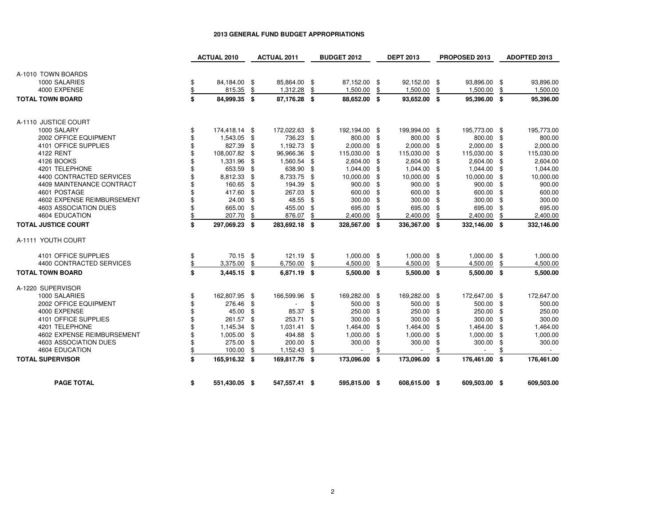|                               | <b>ACTUAL 2010</b>           |     | <b>ACTUAL 2011</b>       | <b>BUDGET 2012</b>             |     | <b>DEPT 2013</b>         |           | PROPOSED 2013            |      | ADOPTED 2013             |
|-------------------------------|------------------------------|-----|--------------------------|--------------------------------|-----|--------------------------|-----------|--------------------------|------|--------------------------|
|                               |                              |     |                          |                                |     |                          |           |                          |      |                          |
| A-1010 TOWN BOARDS            |                              |     |                          |                                |     |                          |           |                          |      |                          |
| 1000 SALARIES<br>4000 EXPENSE | \$<br>84,184.00 \$<br>815.35 | \$  | 85,864.00 \$<br>1,312.28 | 87,152.00 \$<br>1,500.00       |     | 92,152.00<br>1,500.00    | -\$<br>\$ | 93,896.00 \$<br>1,500.00 |      | 93,896.00<br>1,500.00    |
|                               | \$                           |     |                          | \$                             | \$  |                          |           |                          | \$   |                          |
| <b>TOTAL TOWN BOARD</b>       | \$<br>84,999.35 \$           |     | 87,176.28 \$             | 88,652.00 \$                   |     | 93,652.00 \$             |           | 95,396.00 \$             |      | 95,396.00                |
| A-1110 JUSTICE COURT          |                              |     |                          |                                |     |                          |           |                          |      |                          |
| 1000 SALARY                   | \$<br>174,418.14 \$          |     | 172,022.63 \$            | 192,194.00 \$                  |     | 199,994.00 \$            |           | 195,773.00 \$            |      | 195,773.00               |
| 2002 OFFICE EQUIPMENT         | \$<br>1,543.05 \$            |     | 736.23 \$                | 800.00 \$                      |     | 800.00                   | -\$       | 800.00 \$                |      | 800.00                   |
| 4101 OFFICE SUPPLIES          | \$<br>827.39 \$              |     | 1,192.73                 | \$<br>2,000.00                 | \$  | 2,000.00                 | \$        | $2,000.00$ \$            |      | 2,000.00                 |
| 4122 RENT                     | \$<br>108,007.82 \$          |     | 96,966.36                | \$<br>115,030.00               | -\$ | 115,030.00               | \$        | 115,030.00 \$            |      | 115,030.00               |
| 4126 BOOKS                    | \$<br>1,331.96               | -\$ | 1,560.54                 | \$<br>2,604.00                 | \$  | 2,604.00                 | \$        | 2,604.00                 | -\$  | 2,604.00                 |
| 4201 TELEPHONE                | \$<br>653.59 \$              |     | 638.90                   | \$<br>1,044.00                 | \$  | 1,044.00                 | \$        | 1,044.00                 | \$   | 1,044.00                 |
| 4400 CONTRACTED SERVICES      | \$<br>8,812.33 \$            |     | 8,733.75                 | \$<br>10,000.00                | \$  | 10,000.00                | \$        | 10,000.00                | - \$ | 10,000.00                |
| 4409 MAINTENANCE CONTRACT     | \$<br>160.65 \$              |     | 194.39                   | \$<br>900.00                   | \$  | 900.00                   | \$        | 900.00                   | \$   | 900.00                   |
| 4601 POSTAGE                  | \$<br>417.60 \$              |     | 267.03                   | \$<br>600.00                   | \$  | 600.00                   | \$        | 600.00                   | -\$  | 600.00                   |
| 4602 EXPENSE REIMBURSEMENT    | \$<br>24.00                  | \$  | 48.55                    | \$<br>300.00                   | \$  | 300.00                   | \$        | 300.00                   | \$   | 300.00                   |
| 4603 ASSOCIATION DUES         | \$<br>665.00                 | \$  | 455.00                   | \$<br>695.00                   | \$  | 695.00                   | \$        | 695.00                   | \$   | 695.00                   |
| 4604 EDUCATION                | \$<br>207.70                 | \$  | 876.07                   | \$<br>2,400.00                 |     | 2,400.00                 | \$        | 2,400.00                 |      | 2,400.00                 |
| <b>TOTAL JUSTICE COURT</b>    | \$<br>297,069.23 \$          |     | 283,692.18               | \$<br>328,567.00 \$            |     | 336,367.00               | - \$      | 332,146.00               | - \$ | 332,146.00               |
| A-1111 YOUTH COURT            |                              |     |                          |                                |     |                          |           |                          |      |                          |
| 4101 OFFICE SUPPLIES          | \$<br>70.15 \$               |     | 121.19 \$                | 1,000.00 \$                    |     | 1,000.00 \$              |           | 1,000.00 \$              |      | 1,000.00                 |
| 4400 CONTRACTED SERVICES      | \$<br>3,375.00               | \$  | 6,750.00                 | \$<br>4,500.00                 | \$  | 4,500.00                 | \$        | 4,500.00                 | \$   | 4,500.00                 |
| <b>TOTAL TOWN BOARD</b>       | \$<br>3,445.15 \$            |     | 6,871.19 \$              | 5,500.00 \$                    |     | 5,500.00 \$              |           | 5,500.00 \$              |      | 5,500.00                 |
| A-1220 SUPERVISOR             |                              |     |                          |                                |     |                          |           |                          |      |                          |
| 1000 SALARIES                 | \$<br>162,807.95 \$          |     | 166,599.96               | \$<br>169,282.00 \$            |     | 169,282.00 \$            |           | 172,647.00 \$            |      | 172,647.00               |
| 2002 OFFICE EQUIPMENT         | \$<br>276.46 \$              |     | $\blacksquare$           | \$<br>500.00 \$                |     | 500.00                   | -\$       | 500.00                   | -\$  | 500.00                   |
| 4000 EXPENSE                  | \$<br>45.00                  | \$  | 85.37                    | \$<br>250.00                   | \$  | 250.00                   | \$        | 250.00                   | \$   | 250.00                   |
| 4101 OFFICE SUPPLIES          | \$<br>261.57                 | \$  | 253.71                   | \$<br>300.00                   | \$  | 300.00                   | \$        | 300.00                   | \$   | 300.00                   |
| 4201 TELEPHONE                | \$<br>1,145.34               | -\$ | 1,031.41                 | \$<br>1,464.00                 | \$  | 1,464.00                 | \$        | 1,464.00                 | \$   | 1,464.00                 |
| 4602 EXPENSE REIMBURSEMENT    | \$<br>1,005.00               | -\$ | 494.88                   | \$<br>1,000.00                 | \$  | 1,000.00                 | \$        | 1,000.00                 | \$   | 1,000.00                 |
| 4603 ASSOCIATION DUES         | \$<br>275.00                 | \$  | 200.00                   | \$<br>300.00                   | \$  | 300.00                   | \$        | 300.00                   | \$   | 300.00                   |
| <b>4604 EDUCATION</b>         | \$<br>100.00                 | \$  | 1,152.43                 | \$<br>$\overline{\phantom{a}}$ | \$  | $\overline{\phantom{a}}$ | \$        | $\overline{\phantom{a}}$ |      | $\overline{\phantom{a}}$ |
| <b>TOTAL SUPERVISOR</b>       | \$<br>165,916.32 \$          |     | 169,817.76 \$            | 173,096.00 \$                  |     | 173,096.00 \$            |           | 176,461.00 \$            |      | 176,461.00               |
| <b>PAGE TOTAL</b>             | \$<br>551,430.05 \$          |     | 547,557.41 \$            | 595,815.00 \$                  |     | 608,615.00 \$            |           | 609,503.00 \$            |      | 609,503.00               |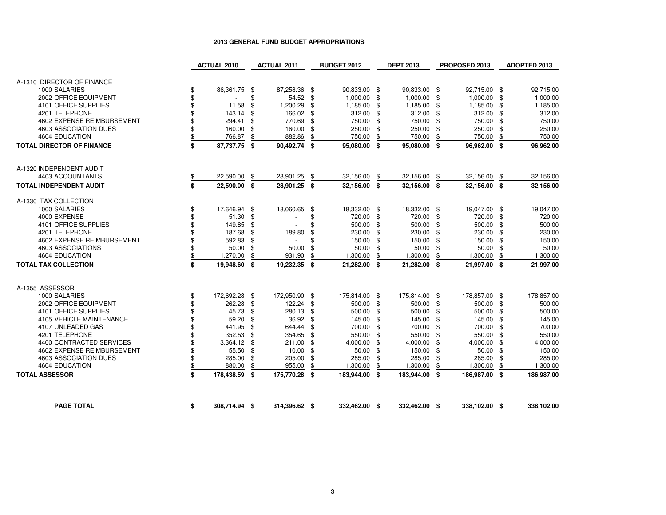|                                         | <b>ACTUAL 2010</b>     |     | <b>ACTUAL 2011</b> |          | <b>BUDGET 2012</b> |          | <b>DEPT 2013</b> |      | PROPOSED 2013    | ADOPTED 2013           |
|-----------------------------------------|------------------------|-----|--------------------|----------|--------------------|----------|------------------|------|------------------|------------------------|
|                                         |                        |     |                    |          |                    |          |                  |      |                  |                        |
| A-1310 DIRECTOR OF FINANCE              |                        |     |                    |          |                    |          |                  |      |                  |                        |
| 1000 SALARIES                           | \$<br>86,361.75 \$     |     | 87,258.36 \$       |          | 90,833.00 \$       |          | 90,833.00 \$     |      | 92,715.00 \$     | 92,715.00              |
| 2002 OFFICE EQUIPMENT                   | \$<br>$\blacksquare$   | \$  | 54.52              | \$       | 1,000.00           | \$       | 1,000.00         | \$   | 1,000.00 \$      | 1,000.00               |
| 4101 OFFICE SUPPLIES                    | \$<br>11.58            | \$  | 1,200.29           | \$       | 1,185.00           | \$       | 1,185.00         | \$   | 1,185.00 \$      | 1,185.00               |
| 4201 TELEPHONE                          | \$<br>143.14 \$        |     | 166.02             | \$       | 312.00             | \$       | 312.00           | \$   | 312.00 \$        | 312.00                 |
| 4602 EXPENSE REIMBURSEMENT              | \$<br>294.41           | \$  | 770.69             | \$       | 750.00             | \$       | 750.00           | \$   | 750.00 \$        | 750.00                 |
| 4603 ASSOCIATION DUES<br>4604 EDUCATION | \$<br>160.00<br>766.87 | -\$ | 160.00<br>882.86   | \$<br>\$ | 250.00<br>750.00   | \$<br>\$ | 250.00<br>750.00 | \$   | 250.00<br>750.00 | \$<br>250.00<br>750.00 |
|                                         | \$                     | \$  |                    |          |                    |          |                  | \$   |                  | \$                     |
| <b>TOTAL DIRECTOR OF FINANCE</b>        | \$<br>87,737.75 \$     |     | 90,492.74 \$       |          | 95,080.00 \$       |          | 95,080.00        | - \$ | 96,962.00 \$     | 96,962.00              |
| A-1320 INDEPENDENT AUDIT                |                        |     |                    |          |                    |          |                  |      |                  |                        |
| 4403 ACCOUNTANTS                        | \$<br>22,590.00        | \$  | 28,901.25          | \$       | 32,156.00          | \$       | 32,156.00        | \$   | 32,156.00 \$     | 32,156.00              |
| <b>TOTAL INDEPENDENT AUDIT</b>          | \$<br>22,590.00 \$     |     | 28,901.25 \$       |          | 32,156.00 \$       |          | 32,156.00 \$     |      | 32,156.00 \$     | 32,156.00              |
| A-1330 TAX COLLECTION                   |                        |     |                    |          |                    |          |                  |      |                  |                        |
| 1000 SALARIES                           | \$<br>17,646.94 \$     |     | 18,060.65 \$       |          | 18,332.00 \$       |          | 18,332.00 \$     |      | 19,047.00 \$     | 19,047.00              |
| 4000 EXPENSE                            | \$<br>$51.30$ \$       |     |                    | \$       | 720.00 \$          |          | 720.00           | \$   | 720.00 \$        | 720.00                 |
| 4101 OFFICE SUPPLIES                    | \$<br>149.85 \$        |     | $\overline{a}$     | \$       | 500.00             | \$       | 500.00           | \$   | 500.00 \$        | 500.00                 |
| 4201 TELEPHONE                          | \$<br>187.68           | \$  | 189.80             | \$       | 230.00             | \$       | 230.00           | \$   | 230.00 \$        | 230.00                 |
| 4602 EXPENSE REIMBURSEMENT              | \$<br>592.83           | -\$ | $\sim$             | \$       | 150.00             | \$       | 150.00           | \$   | 150.00 \$        | 150.00                 |
| 4603 ASSOCIATIONS                       | \$<br>50.00            | \$  | 50.00              | \$       | 50.00              | \$       | 50.00            | \$   | $50.00$ \$       | 50.00                  |
| 4604 EDUCATION                          | \$<br>1,270.00         | \$  | 931.90             | \$       | 1,300.00           | \$       | 1,300.00         | \$   | 1,300.00         | \$<br>1,300.00         |
| <b>TOTAL TAX COLLECTION</b>             | \$<br>19,948.60 \$     |     | 19,232.35 \$       |          | 21,282.00 \$       |          | 21,282.00 \$     |      | 21,997.00 \$     | 21,997.00              |
| A-1355 ASSESSOR                         |                        |     |                    |          |                    |          |                  |      |                  |                        |
| 1000 SALARIES                           | \$<br>172,692.28 \$    |     | 172,950.90 \$      |          | 175,814.00 \$      |          | 175,814.00 \$    |      | 178,857.00 \$    | 178,857.00             |
| 2002 OFFICE EQUIPMENT                   | \$<br>262.28 \$        |     | 122.24             | \$       | 500.00             | \$       | 500.00           | \$   | 500.00 \$        | 500.00                 |
| 4101 OFFICE SUPPLIES                    | \$<br>45.73 \$         |     | 280.13             | \$       | 500.00             | \$       | 500.00           | \$   | 500.00 \$        | 500.00                 |
| <b>4105 VEHICLE MAINTENANCE</b>         | \$<br>59.20            | -\$ | 36.92              | \$       | 145.00             | \$       | 145.00           | \$   | 145.00 \$        | 145.00                 |
| 4107 UNLEADED GAS                       | \$<br>441.95           | \$  | 644.44             | \$       | 700.00             | \$       | 700.00           | \$   | 700.00 \$        | 700.00                 |
| 4201 TELEPHONE                          | \$<br>352.53 \$        |     | 354.65             | \$       | 550.00             | \$       | 550.00           | \$.  | 550.00 \$        | 550.00                 |
| 4400 CONTRACTED SERVICES                | \$<br>3,364.12 \$      |     | 211.00             | \$       | 4,000.00           | \$       | 4,000.00         | \$   | 4,000.00 \$      | 4,000.00               |
| 4602 EXPENSE REIMBURSEMENT              | \$<br>55.50            | \$  | 10.00              | \$       | 150.00             | \$       | 150.00           | \$   | 150.00 \$        | 150.00                 |
| 4603 ASSOCIATION DUES                   | \$<br>285.00           | \$  | 205.00             | \$       | 285.00             | \$       | 285.00           | \$   | 285.00 \$        | 285.00                 |
| 4604 EDUCATION                          | \$<br>880.00           | \$  | 955.00             | \$       | 1,300.00           | \$       | 1,300.00         | \$   | 1,300.00         | \$<br>1,300.00         |
| <b>TOTAL ASSESSOR</b>                   | \$<br>178,438.59 \$    |     | 175,770.28 \$      |          | 183,944.00 \$      |          | 183,944.00 \$    |      | 186,987.00 \$    | 186,987.00             |
| <b>PAGE TOTAL</b>                       | 308,714.94 \$          |     | 314,396.62 \$      |          | 332,462.00 \$      |          | 332,462.00 \$    |      | 338,102.00 \$    | 338,102.00             |
|                                         | \$                     |     |                    |          |                    |          |                  |      |                  |                        |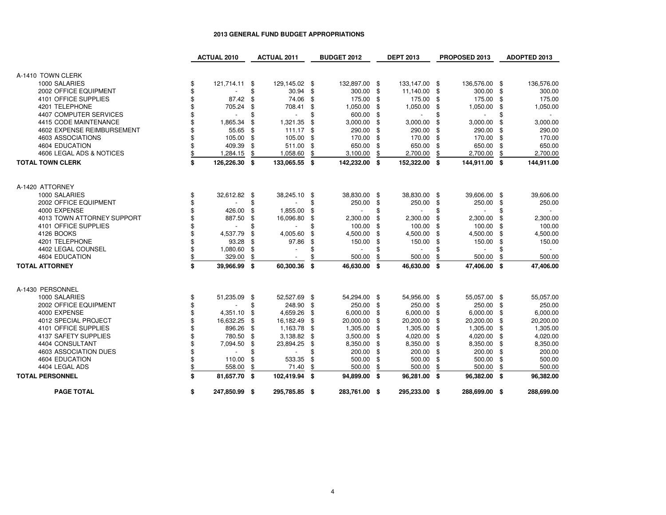|                            | <b>ACTUAL 2010</b>  |    | <b>ACTUAL 2011</b>       |    | <b>BUDGET 2012</b> | <b>DEPT 2013</b> |    | PROPOSED 2013  |     | ADOPTED 2013 |
|----------------------------|---------------------|----|--------------------------|----|--------------------|------------------|----|----------------|-----|--------------|
|                            |                     |    |                          |    |                    |                  |    |                |     |              |
| A-1410 TOWN CLERK          |                     |    |                          |    |                    |                  |    |                |     |              |
| 1000 SALARIES              | \$<br>121,714.11 \$ |    | 129,145.02 \$            |    | 132,897.00 \$      | 133,147.00 \$    |    | 136,576.00 \$  |     | 136,576.00   |
| 2002 OFFICE EQUIPMENT      | \$                  | \$ | 30.94                    | \$ | 300.00 \$          | 11,140.00        | \$ | 300.00 \$      |     | 300.00       |
| 4101 OFFICE SUPPLIES       | \$<br>87.42         | \$ | 74.06                    | \$ | 175.00             | \$<br>175.00     | \$ | 175.00         | \$  | 175.00       |
| 4201 TELEPHONE             | \$<br>705.24        | \$ | 708.41                   | \$ | 1,050.00           | \$<br>1,050.00   | \$ | 1,050.00       | \$  | 1,050.00     |
| 4407 COMPUTER SERVICES     |                     | \$ | $\overline{\phantom{a}}$ | \$ | 600.00             | \$               | \$ |                | \$  |              |
| 4415 CODE MAINTENANCE      | 1,865.34            | \$ | 1,321.35                 | \$ | 3,000.00           | \$<br>3,000.00   | \$ | 3,000.00       | \$  | 3,000.00     |
| 4602 EXPENSE REIMBURSEMENT | 55.65               | \$ | 111.17                   | \$ | 290.00             | \$<br>290.00     | \$ | 290.00         | -\$ | 290.00       |
| 4603 ASSOCIATIONS          | 105.00              | \$ | 105.00                   | \$ | 170.00             | \$<br>170.00     | \$ | 170.00         | \$  | 170.00       |
| 4604 EDUCATION             | 409.39              | \$ | 511.00                   | \$ | 650.00             | \$<br>650.00     | \$ | 650.00         | \$  | 650.00       |
| 4606 LEGAL ADS & NOTICES   | \$<br>1,284.15      | \$ | 1,058.60                 | \$ | 3,100.00           | \$<br>2,700.00   | \$ | 2,700.00       | \$  | 2,700.00     |
| <b>TOTAL TOWN CLERK</b>    | \$<br>126,226.30 \$ |    | 133,065.55 \$            |    | 142,232.00 \$      | 152,322.00 \$    |    | 144,911.00 \$  |     | 144,911.00   |
| A-1420 ATTORNEY            |                     |    |                          |    |                    |                  |    |                |     |              |
| 1000 SALARIES              | \$<br>32,612.82 \$  |    | 38,245.10 \$             |    | 38,830.00 \$       | 38,830.00 \$     |    | 39,606.00 \$   |     | 39,606.00    |
| 2002 OFFICE EQUIPMENT      |                     | \$ |                          | \$ | 250.00             | \$<br>250.00     | \$ | 250.00         | \$  | 250.00       |
| 4000 EXPENSE               | \$<br>426.00        | \$ | 1,855.00                 | \$ |                    | \$               | £. | $\blacksquare$ | \$  | $\sim$       |
| 4013 TOWN ATTORNEY SUPPORT | 887.50              | \$ | 16,096.80                | \$ | 2,300.00           | \$<br>2,300.00   | \$ | 2,300.00       | \$  | 2,300.00     |
| 4101 OFFICE SUPPLIES       |                     | \$ |                          | \$ | 100.00             | \$<br>100.00     | \$ | 100.00         | \$  | 100.00       |
| 4126 BOOKS                 | \$<br>4,537.79      | \$ | 4,005.60                 | \$ | 4,500.00           | \$<br>4,500.00   | \$ | 4,500.00       | \$  | 4,500.00     |
| 4201 TELEPHONE             | \$<br>93.28         | \$ | 97.86                    | \$ | 150.00             | \$<br>150.00     | \$ | 150.00         | \$  | 150.00       |
| 4402 LEGAL COUNSEL         | \$<br>1,080.60      | \$ |                          | \$ |                    | \$               | \$ |                | \$  |              |
| 4604 EDUCATION             | \$<br>329.00        | \$ | $\overline{\phantom{a}}$ | \$ | 500.00             | \$<br>500.00     | \$ | 500.00         | \$  | 500.00       |
|                            |                     |    |                          |    |                    |                  |    |                |     |              |
| <b>TOTAL ATTORNEY</b>      | \$<br>39,966.99 \$  |    | 60,300.36                | \$ | 46,630.00 \$       | 46,630.00 \$     |    | 47,406.00 \$   |     | 47,406.00    |
| A-1430 PERSONNEL           |                     |    |                          |    |                    |                  |    |                |     |              |
| 1000 SALARIES              | \$<br>51,235.09     | \$ | 52,527.69 \$             |    | 54,294.00 \$       | 54,956.00 \$     |    | 55,057.00 \$   |     | 55,057.00    |
| 2002 OFFICE EQUIPMENT      | \$                  | \$ | 248.90                   | \$ | 250.00 \$          | 250.00           | \$ | 250.00 \$      |     | 250.00       |
| 4000 EXPENSE               | \$<br>4,351.10      | \$ | 4,659.26                 | \$ | 6,000.00           | \$<br>6,000.00   | \$ | $6,000.00$ \$  |     | 6,000.00     |
| 4012 SPECIAL PROJECT       | 16,632.25           | £. | 16,182.49                | \$ | 20,000.00          | \$<br>20,200.00  | \$ | 20,200.00      | -\$ | 20,200.00    |
| 4101 OFFICE SUPPLIES       | 896.26              | \$ | 1,163.78                 | \$ | 1,305.00           | \$<br>1,305.00   | \$ | 1,305.00       | -\$ | 1,305.00     |
| 4137 SAFETY SUPPLIES       | \$<br>780.50        | \$ | 3,138.82                 | \$ | 3,500.00           | \$<br>4,020.00   | \$ | 4,020.00 \$    |     | 4,020.00     |
| 4404 CONSULTANT            | \$<br>7,094.50      | \$ | 23,894.25                | \$ | 8,350.00           | \$<br>8,350.00   | \$ | 8,350.00       | \$  | 8,350.00     |
| 4603 ASSOCIATION DUES      |                     |    |                          | \$ | 200.00             | \$<br>200.00     | \$ | 200.00 \$      |     | 200.00       |
| 4604 EDUCATION             | \$<br>110.00        | \$ | 533.35                   | \$ | 500.00             | \$<br>500.00     | \$ | 500.00         | \$  | 500.00       |
| 4404 LEGAL ADS             | \$<br>558.00        | \$ | 71.40                    | \$ | 500.00             | \$<br>500.00     | \$ | 500.00         | \$  | 500.00       |
| <b>TOTAL PERSONNEL</b>     | \$<br>81,657.70 \$  |    | 102,419.94               | S. | 94,899.00 \$       | 96,281.00 \$     |    | 96,382.00 \$   |     | 96,382.00    |
| <b>PAGE TOTAL</b>          | \$<br>247,850.99 \$ |    | 295,785.85 \$            |    | 283,761.00 \$      | 295,233.00 \$    |    | 288,699.00 \$  |     | 288,699.00   |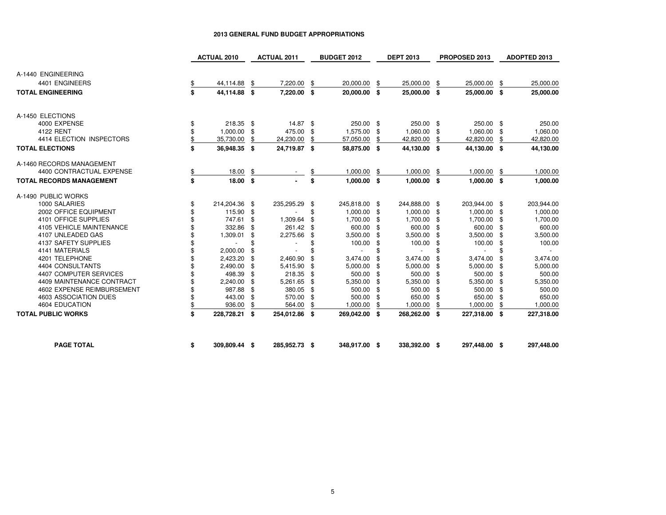|                                 | <b>ACTUAL 2010</b>  |     | <b>ACTUAL 2011</b> |      | <b>BUDGET 2012</b> | <b>DEPT 2013</b> |     | PROPOSED 2013  |      | <b>ADOPTED 2013</b> |
|---------------------------------|---------------------|-----|--------------------|------|--------------------|------------------|-----|----------------|------|---------------------|
|                                 |                     |     |                    |      |                    |                  |     |                |      |                     |
| A-1440 ENGINEERING              |                     |     |                    |      |                    |                  |     |                |      |                     |
| 4401 ENGINEERS                  | \$<br>44,114.88     | \$  | 7,220.00           | \$   | 20,000.00          | \$<br>25,000.00  | \$  | 25,000.00      | \$   | 25,000.00           |
| <b>TOTAL ENGINEERING</b>        | \$<br>44,114.88 \$  |     | 7,220.00 \$        |      | 20,000.00 \$       | 25,000.00 \$     |     | 25,000.00 \$   |      | 25,000.00           |
| A-1450 ELECTIONS                |                     |     |                    |      |                    |                  |     |                |      |                     |
| 4000 EXPENSE                    | \$<br>218.35 \$     |     | 14.87 \$           |      | 250.00 \$          | 250.00 \$        |     | 250.00 \$      |      | 250.00              |
| 4122 RENT                       | 1,000.00            | \$  | 475.00             | \$   | 1,575.00 \$        | 1,060.00         | \$  | 1,060.00       | -\$  | 1,060.00            |
| 4414 ELECTION INSPECTORS        | \$<br>35,730.00     | \$  | 24,230.00          | \$   | 57,050.00          | \$<br>42,820.00  | \$  | 42,820.00      | S    | 42,820.00           |
| <b>TOTAL ELECTIONS</b>          | \$<br>36,948.35 \$  |     | 24,719.87 \$       |      | 58,875.00 \$       | 44,130.00 \$     |     | 44,130.00 \$   |      | 44,130.00           |
| A-1460 RECORDS MANAGEMENT       |                     |     |                    |      |                    |                  |     |                |      |                     |
| 4400 CONTRACTUAL EXPENSE        | \$<br>18.00         | \$  |                    |      | 1,000.00           | \$<br>1,000.00   | \$  | 1,000.00       | \$   | 1,000.00            |
| <b>TOTAL RECORDS MANAGEMENT</b> | \$<br>18.00 \$      |     |                    | \$   | $1,000.00$ \$      | $1,000.00$ \$    |     | $1,000.00$ \$  |      | 1,000.00            |
| A-1490 PUBLIC WORKS             |                     |     |                    |      |                    |                  |     |                |      |                     |
| 1000 SALARIES                   | \$<br>214,204.36 \$ |     | 235,295.29 \$      |      | 245,818.00 \$      | 244,888.00 \$    |     | 203,944.00 \$  |      | 203,944.00          |
| 2002 OFFICE EQUIPMENT           | 115.90 \$           |     |                    | \$   | 1,000.00 \$        | 1,000.00         | -\$ | 1,000.00 \$    |      | 1,000.00            |
| 4101 OFFICE SUPPLIES            | 747.61              | \$  | 1,309.64           | \$   | 1,700.00           | \$<br>1,700.00   | \$  | 1,700.00       | - \$ | 1,700.00            |
| 4105 VEHICLE MAINTENANCE        | 332.86              | \$  | 261.42 \$          |      | 600.00             | \$<br>600.00     | \$  | 600.00 \$      |      | 600.00              |
| 4107 UNLEADED GAS               | 1,309.01            | \$  | 2,275.66           | \$   | 3,500.00           | \$<br>3,500.00   | \$  | 3,500.00       | -\$  | 3,500.00            |
| 4137 SAFETY SUPPLIES            |                     | \$  |                    | \$   | 100.00             | \$<br>100.00     | \$  | 100.00         | \$   | 100.00              |
| 4141 MATERIALS                  | 2,000.00            | \$  |                    |      |                    |                  | \$  | $\overline{a}$ | \$   |                     |
| 4201 TELEPHONE                  | 2,423.20 \$         |     | 2,460.90           |      | 3.474.00           | 3,474.00         | \$  | 3,474.00       | -\$  | 3,474.00            |
| 4404 CONSULTANTS                | 2,490.00            | -\$ | 5,415.90           | \$   | 5,000.00           | \$<br>5,000.00   | \$  | 5,000.00       | -\$  | 5,000.00            |
| 4407 COMPUTER SERVICES          | 498.39              | \$  | 218.35             | - \$ | 500.00 \$          | 500.00           | \$  | 500.00         | - \$ | 500.00              |
| 4409 MAINTENANCE CONTRACT       | 2,240.00            | \$  | 5,261.65           | -\$  | 5,350.00           | \$<br>5,350.00   | \$  | 5,350.00       | -\$  | 5,350.00            |
| 4602 EXPENSE REIMBURSEMENT      | 987.88              | \$  | 380.05             | \$   | 500.00             | \$<br>500.00     | \$  | 500.00         | - \$ | 500.00              |
| 4603 ASSOCIATION DUES           | 443.00              | \$  | 570.00             | \$   | 500.00             | \$<br>650.00     | \$  | 650.00         | -\$  | 650.00              |
| <b>4604 EDUCATION</b>           | \$<br>936.00        | \$  | 564.00             |      | 1,000.00           | 1,000.00         | \$  | 1,000.00       | \$   | 1,000.00            |
| <b>TOTAL PUBLIC WORKS</b>       | \$<br>228,728.21 \$ |     | 254,012.86 \$      |      | 269,042.00 \$      | 268,262.00 \$    |     | 227,318.00 \$  |      | 227,318.00          |
| <b>PAGE TOTAL</b>               | \$<br>309,809.44 \$ |     | 285,952.73 \$      |      | 348,917.00 \$      | 338,392.00 \$    |     | 297,448.00 \$  |      | 297,448.00          |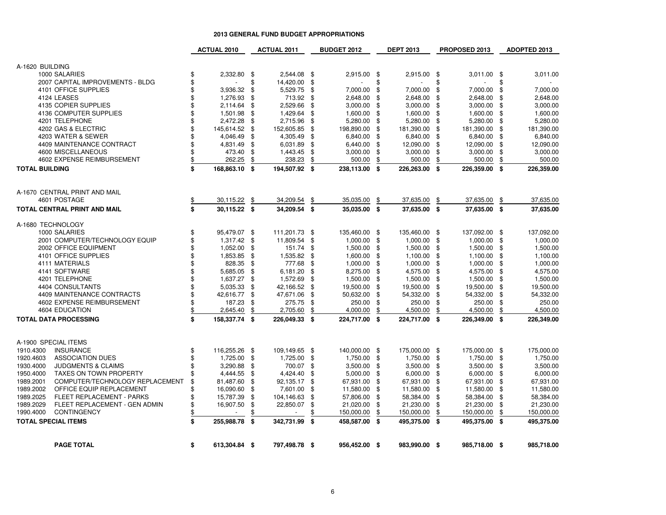|                                              | <b>ACTUAL 2010</b>  |          | <b>ACTUAL 2011</b> |          | <b>BUDGET 2012</b> |          | <b>DEPT 2013</b> |          | PROPOSED 2013 |          | <b>ADOPTED 2013</b> |
|----------------------------------------------|---------------------|----------|--------------------|----------|--------------------|----------|------------------|----------|---------------|----------|---------------------|
| A-1620 BUILDING                              |                     |          |                    |          |                    |          |                  |          |               |          |                     |
| 1000 SALARIES                                | 2,332.80            | -\$      | 2,544.08 \$        |          | 2,915.00 \$        |          | 2,915.00 \$      |          | 3,011.00      | - \$     | 3,011.00            |
| 2007 CAPITAL IMPROVEMENTS - BLDG             | \$                  | \$       | 14,420.00          | \$       |                    | \$       |                  | \$       |               | \$       |                     |
| 4101 OFFICE SUPPLIES                         | \$<br>3,936.32      | \$       | 5,529.75           | \$       | 7,000.00           | \$       | 7,000.00         | \$       | 7,000.00      | \$       | 7,000.00            |
| 4124 LEASES                                  | \$<br>1,276.93      | \$       | 713.92             | \$       | 2,648.00           | \$       | 2,648.00         | \$       | 2,648.00      | \$       | 2,648.00            |
| 4135 COPIER SUPPLIES                         | \$<br>2,114.64      | \$       | 2,529.66           | \$       | 3,000.00           | \$       | 3,000.00         | \$       | 3,000.00      | \$       | 3,000.00            |
| 4136 COMPUTER SUPPLIES                       | \$<br>1,501.98      | \$       | 1,429.64           | \$       | 1,600.00           | \$       | 1,600.00         | \$       | 1,600.00      | \$       | 1,600.00            |
| 4201 TELEPHONE                               | \$<br>2,472.28      | \$       | 2,715.96           | \$       | 5,280.00           | \$       | 5,280.00         | \$       | 5,280.00      | -\$      | 5,280.00            |
| 4202 GAS & ELECTRIC                          | \$<br>145,614.52    | \$       | 152,605.85         | \$       | 198,890.00         | \$       | 181,390.00       | \$       | 181,390.00    | \$       | 181,390.00          |
| 4203 WATER & SEWER                           | \$<br>4,046.49      | \$       | 4,305.49           | \$       | 6,840.00           | \$       | 6,840.00         | \$       | 6,840.00      | \$       | 6,840.00            |
| 4409 MAINTENANCE CONTRACT                    | \$<br>4,831.49      | \$       | 6,031.89           | \$       | 6,440.00           | \$       | 12,090.00        | \$       | 12,090.00     | \$       | 12,090.00           |
| 4600 MISCELLANEOUS                           | \$<br>473.40        | \$       | 1,443.45           | \$       | 3,000.00           | \$       | 3,000.00         | \$       | 3,000.00      | \$       | 3,000.00            |
| 4602 EXPENSE REIMBURSEMENT                   | \$<br>262.25        | \$       | 238.23             | \$       | 500.00             | \$       | 500.00           | \$       | 500.00        | \$       | 500.00              |
| <b>TOTAL BUILDING</b>                        | \$<br>168,863.10 \$ |          | 194,507.92 \$      |          | 238,113.00 \$      |          | 226,263.00 \$    |          | 226,359.00    | - \$     | 226,359.00          |
| A-1670 CENTRAL PRINT AND MAIL                |                     |          |                    |          |                    |          |                  |          |               |          |                     |
| 4601 POSTAGE                                 | \$<br>30,115.22     | - \$     | 34,209.54          | \$       | 35,035.00          | \$       | 37,635.00        | \$       | 37,635.00     | \$       | 37,635.00           |
| TOTAL CENTRAL PRINT AND MAIL                 | \$<br>30,115.22 \$  |          | 34,209.54 \$       |          | 35,035.00 \$       |          | 37,635.00 \$     |          | 37,635.00 \$  |          | 37,635.00           |
| A-1680 TECHNOLOGY                            |                     |          |                    |          |                    |          |                  |          |               |          |                     |
| 1000 SALARIES                                | \$<br>95,479.07 \$  |          | 111,201.73         | - \$     | 135,460.00 \$      |          | 135,460.00       | \$       | 137,092.00    | - \$     | 137,092.00          |
| 2001 COMPUTER/TECHNOLOGY EQUIP               | \$<br>1,317.42      | - \$     | 11,809.54          | \$       | 1,000.00           | \$       | 1,000.00         | \$       | 1,000.00      | \$       | 1,000.00            |
| 2002 OFFICE EQUIPMENT                        | \$<br>1,052.00      | \$       | 151.74             | \$       | 1,500.00           | \$       | 1,500.00         | \$       | 1,500.00      | \$       | 1,500.00            |
| 4101 OFFICE SUPPLIES                         | \$<br>1,853.85      | \$       | 1,535.82           | \$       | 1,600.00           | \$       | 1,100.00         | \$       | 1,100.00      | \$       | 1,100.00            |
| 4111 MATERIALS                               | \$<br>828.35        | \$       | 777.68             | \$       | 1,000.00           | \$       | 1,000.00         | \$       | 1,000.00      | \$       | 1,000.00            |
| 4141 SOFTWARE                                | \$<br>5,685.05      | \$       | 6,181.20           | \$       | 8,275.00           | \$       | 4,575.00         | \$       | 4,575.00      | \$       | 4,575.00            |
| 4201 TELEPHONE                               | \$<br>1,637.27      | \$       | 1,572.69           | \$       | 1,500.00           | \$       | 1,500.00         | \$       | 1,500.00      | -\$      | 1,500.00            |
| 4404 CONSULTANTS                             | \$<br>5,035.33      | \$       | 42,166.52          | \$       | 19,500.00          | \$       | 19,500.00        | \$       | 19,500.00     | \$       | 19,500.00           |
| 4409 MAINTENANCE CONTRACTS                   | \$<br>42,616.77     | \$       | 47,671.06          | \$       | 50,632.00          | \$       | 54,332.00        | \$       | 54,332.00     | \$       | 54,332.00           |
| 4602 EXPENSE REIMBURSEMENT<br>4604 EDUCATION | \$<br>187.23        | \$<br>\$ | 275.75             | \$<br>\$ | 250.00<br>4,000.00 | \$<br>\$ | 250.00           | \$<br>\$ | 250.00        | \$<br>\$ | 250.00<br>4,500.00  |
|                                              | \$<br>2,645.40      |          | 2,705.60           |          |                    |          | 4,500.00         |          | 4,500.00      |          |                     |
| <b>TOTAL DATA PROCESSING</b>                 | \$<br>158,337.74 \$ |          | 226,049.33         | - \$     | 224,717.00 \$      |          | 224,717.00 \$    |          | 226,349.00    | - \$     | 226,349.00          |
| A-1900 SPECIAL ITEMS                         |                     |          |                    |          |                    |          |                  |          |               |          |                     |
| 1910.4300<br><b>INSURANCE</b>                | \$<br>116,255.26    | - \$     | 109,149.65 \$      |          | 140,000.00 \$      |          | 175,000.00 \$    |          | 175,000.00 \$ |          | 175,000.00          |
| 1920.4603<br><b>ASSOCIATION DUES</b>         | \$<br>1,725.00      | \$       | 1,725.00           | \$       | 1,750.00 \$        |          | 1,750.00         | \$       | 1,750.00      | \$       | 1,750.00            |
| 1930.4000<br><b>JUDGMENTS &amp; CLAIMS</b>   | \$<br>3,290.88      | \$       | 700.07             | - \$     | 3,500.00           | - \$     | 3,500.00         | \$       | 3,500.00      | -\$      | 3,500.00            |
| 1950.4000<br><b>TAXES ON TOWN PROPERTY</b>   | \$<br>4,444.55      | \$       | 4,424.40           | \$       | 5,000.00           | \$       | 6,000.00         | \$       | 6,000.00      | \$       | 6,000.00            |
| 1989.2001<br>COMPUTER/TECHNOLOGY REPLACEMENT | \$<br>81,487.60     | \$       | 92,135.17          | \$       | 67,931.00          | \$       | 67,931.00        | \$       | 67,931.00     | \$       | 67,931.00           |
| 1989.2002<br>OFFICE EQUIP REPLACEMENT        | \$<br>16,090.60     | \$       | 7,601.00           | \$       | 11,580.00          | \$       | 11,580.00        | \$       | 11,580.00     | \$       | 11,580.00           |
| 1989.2025<br>FLEET REPLACEMENT - PARKS       | \$<br>15,787.39     | \$       | 104,146.63         | \$       | 57,806.00          | \$       | 58,384.00        | \$       | 58,384.00     | \$       | 58,384.00           |
| 1989.2029<br>FLEET REPLACEMENT - GEN ADMIN   | \$<br>16,907.50     | \$       | 22,850.07          | \$       | 21,020.00          | \$       | 21,230.00        | \$       | 21,230.00     | \$       | 21,230.00           |
| 1990.4000<br><b>CONTINGENCY</b>              | \$                  | \$       |                    | \$       | 150,000.00         | \$       | 150,000.00       | \$       | 150,000.00    | \$       | 150,000.00          |
| <b>TOTAL SPECIAL ITEMS</b>                   | \$<br>255,988.78    | \$       | 342,731.99         | \$       | 458,587.00 \$      |          | 495,375.00 \$    |          | 495,375.00    | -\$      | 495,375.00          |
| <b>PAGE TOTAL</b>                            | \$<br>613,304.84 \$ |          | 797,498.78 \$      |          | 956,452.00 \$      |          | 983,990.00 \$    |          | 985,718.00 \$ |          | 985,718.00          |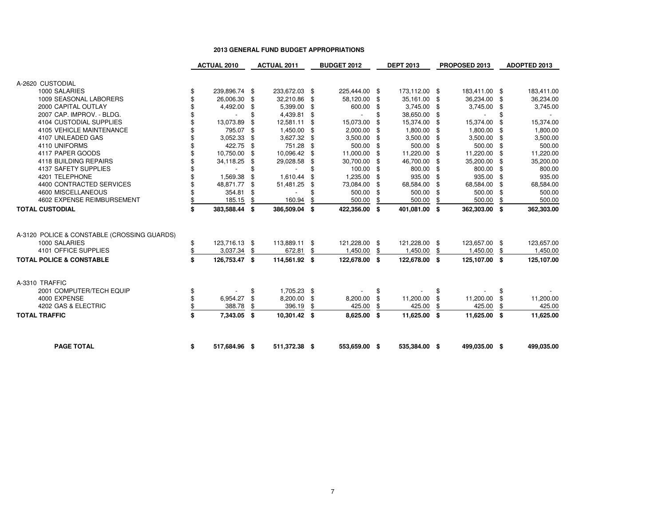|                                             | <b>ACTUAL 2010</b>  |     | <b>ACTUAL 2011</b> |      | <b>BUDGET 2012</b> |     | <b>DEPT 2013</b> |      | PROPOSED 2013 |     | ADOPTED 2013 |
|---------------------------------------------|---------------------|-----|--------------------|------|--------------------|-----|------------------|------|---------------|-----|--------------|
|                                             |                     |     |                    |      |                    |     |                  |      |               |     |              |
| A-2620 CUSTODIAL                            |                     |     |                    |      |                    |     |                  |      |               |     |              |
| 1000 SALARIES                               | \$<br>239,896.74 \$ |     | 233,672.03 \$      |      | 225,444.00 \$      |     | 173,112.00 \$    |      | 183,411.00 \$ |     | 183,411.00   |
| 1009 SEASONAL LABORERS                      | \$<br>26,006.30 \$  |     | 32,210.86 \$       |      | 58,120.00          | -\$ | 35,161.00 \$     |      | 36,234.00 \$  |     | 36,234.00    |
| 2000 CAPITAL OUTLAY                         | 4,492.00            | -\$ | 5,399.00           | \$   | 600.00             | \$  | 3,745.00 \$      |      | 3,745.00      | -\$ | 3,745.00     |
| 2007 CAP. IMPROV. - BLDG.                   |                     | \$  | 4,439.81           | \$   |                    |     | 38,650.00 \$     |      |               | \$  |              |
| <b>4104 CUSTODIAL SUPPLIES</b>              | 13,073.89           | \$  | 12,581.11          | \$   | 15,073.00          |     | 15,374.00 \$     |      | 15,374.00     | -\$ | 15,374.00    |
| 4105 VEHICLE MAINTENANCE                    | 795.07              | -\$ | 1,450.00 \$        |      | 2,000.00           | -9  | 1,800.00 \$      |      | 1,800.00      | \$  | 1,800.00     |
| 4107 UNLEADED GAS                           | 3,052.33            | -\$ | 3,627.32 \$        |      | 3,500.00           | -\$ | $3,500.00$ \$    |      | 3,500.00      | -\$ | 3,500.00     |
| 4110 UNIFORMS                               | 422.75              | \$  | 751.28             | - \$ | 500.00 \$          |     | 500.00 \$        |      | 500.00 \$     |     | 500.00       |
| 4117 PAPER GOODS                            | 10,750.00 \$        |     | 10,096.42 \$       |      | 11,000.00 \$       |     | 11,220.00 \$     |      | 11,220.00 \$  |     | 11,220.00    |
| 4118 BUILDING REPAIRS                       | 34,118.25           | -\$ | 29,028.58          | \$   | 30,700.00 \$       |     | 46,700.00 \$     |      | 35,200.00 \$  |     | 35,200.00    |
| 4137 SAFETY SUPPLIES                        |                     | \$  |                    |      | 100.00 \$          |     | 800.00 \$        |      | 800.00 \$     |     | 800.00       |
| 4201 TELEPHONE                              | 1,569.38            | \$  | 1,610.44           | \$   | 1,235.00 \$        |     | 935.00 \$        |      | 935.00 \$     |     | 935.00       |
| 4400 CONTRACTED SERVICES                    | 48,871.77           | \$  | 51,481.25          | \$   | 73,084.00 \$       |     | 68,584.00        | - \$ | 68,584.00 \$  |     | 68,584.00    |
| 4600 MISCELLANEOUS                          | 354.81              | \$  |                    |      | 500.00             | \$  | 500.00 \$        |      | 500.00        | \$  | 500.00       |
| 4602 EXPENSE REIMBURSEMENT                  | \$<br>185.15        | \$  | 160.94             |      | 500.00             | \$  | 500.00           | \$   | 500.00        | \$  | 500.00       |
| <b>TOTAL CUSTODIAL</b>                      | \$<br>383,588.44 \$ |     | 386,509.04 \$      |      | 422,356.00 \$      |     | 401,081.00 \$    |      | 362,303.00 \$ |     | 362,303.00   |
|                                             |                     |     |                    |      |                    |     |                  |      |               |     |              |
|                                             |                     |     |                    |      |                    |     |                  |      |               |     |              |
| A-3120 POLICE & CONSTABLE (CROSSING GUARDS) |                     |     |                    |      |                    |     |                  |      |               |     |              |
| 1000 SALARIES                               | \$<br>123,716.13 \$ |     | 113,889.11 \$      |      | 121,228.00 \$      |     | 121,228.00 \$    |      | 123,657.00 \$ |     | 123,657.00   |
| 4101 OFFICE SUPPLIES                        | \$<br>3,037.34      | \$  | 672.81             | \$   | 1,450.00           | \$  | 1,450.00         | \$   | 1,450.00      | \$  | 1,450.00     |
| <b>TOTAL POLICE &amp; CONSTABLE</b>         | \$<br>126,753.47 \$ |     | 114,561.92 \$      |      | 122,678.00 \$      |     | 122,678.00 \$    |      | 125,107.00 \$ |     | 125,107.00   |
|                                             |                     |     |                    |      |                    |     |                  |      |               |     |              |
| A-3310 TRAFFIC                              |                     |     |                    |      |                    |     |                  |      |               |     |              |
| 2001 COMPUTER/TECH EQUIP                    | \$                  | \$  | 1,705.23 \$        |      |                    | \$  |                  | \$   |               | \$  |              |
| 4000 EXPENSE                                | \$<br>6,954.27      | \$  | 8,200.00           | -\$  | 8,200.00           | \$  | 11,200.00        | - \$ | 11,200.00     | \$  | 11,200.00    |
| 4202 GAS & ELECTRIC                         | \$<br>388.78        |     | 396.19             |      | 425.00             |     | 425.00           | \$   | 425.00        |     | 425.00       |
| <b>TOTAL TRAFFIC</b>                        | \$<br>7,343.05 \$   |     | 10,301.42 \$       |      | 8,625.00 \$        |     | 11,625.00 \$     |      | 11,625.00 \$  |     | 11,625.00    |
|                                             |                     |     |                    |      |                    |     |                  |      |               |     |              |
|                                             |                     |     |                    |      |                    |     |                  |      |               |     |              |
| <b>PAGE TOTAL</b>                           | \$<br>517,684.96 \$ |     | 511,372.38 \$      |      | 553,659.00 \$      |     | 535,384.00 \$    |      | 499,035.00 \$ |     | 499,035.00   |
|                                             |                     |     |                    |      |                    |     |                  |      |               |     |              |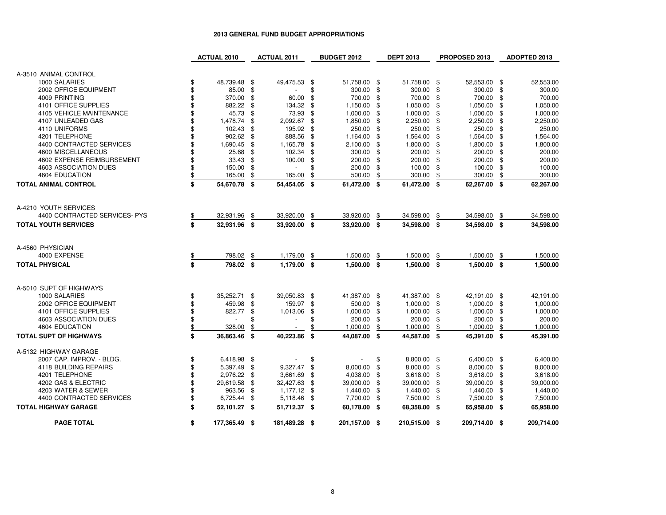|                                 | <b>ACTUAL 2010</b>  |     | <b>ACTUAL 2011</b>       |      | <b>BUDGET 2012</b> |     | <b>DEPT 2013</b> |     | PROPOSED 2013 |     | ADOPTED 2013 |
|---------------------------------|---------------------|-----|--------------------------|------|--------------------|-----|------------------|-----|---------------|-----|--------------|
|                                 |                     |     |                          |      |                    |     |                  |     |               |     |              |
| A-3510 ANIMAL CONTROL           |                     |     |                          |      |                    |     |                  |     |               |     |              |
| 1000 SALARIES                   | \$<br>48,739.48 \$  |     | 49,475.53 \$             |      | 51,758.00 \$       |     | 51,758.00 \$     |     | 52,553.00 \$  |     | 52,553.00    |
| 2002 OFFICE EQUIPMENT           | \$<br>85.00         | -\$ |                          | \$.  | 300.00 \$          |     | 300.00           | \$  | 300.00 \$     |     | 300.00       |
| 4009 PRINTING                   | \$<br>370.00        | \$  | 60.00                    | \$   | 700.00             | \$  | 700.00           | \$  | 700.00        | \$  | 700.00       |
| 4101 OFFICE SUPPLIES            | \$<br>882.22        | \$  | 134.32                   | \$   | 1,150.00 \$        |     | 1,050.00         | \$  | 1,050.00 \$   |     | 1,050.00     |
| <b>4105 VEHICLE MAINTENANCE</b> | \$<br>45.73         | \$  | 73.93                    | \$   | 1,000.00           | \$  | 1,000.00         | \$  | 1,000.00      | -\$ | 1,000.00     |
| 4107 UNLEADED GAS               | \$<br>1,478.74      | \$  | 2,092.67                 | -\$  | 1,850.00           | -\$ | 2,250.00         | \$  | 2,250.00 \$   |     | 2,250.00     |
| 4110 UNIFORMS                   | \$<br>102.43        | \$  | 195.92                   | -\$  | 250.00             | \$  | 250.00           | \$  | 250.00 \$     |     | 250.00       |
| 4201 TELEPHONE                  | \$<br>902.62        | \$  | 888.56                   | \$   | 1,164.00           | \$  | 1,564.00         | \$  | 1,564.00      | -\$ | 1,564.00     |
| 4400 CONTRACTED SERVICES        | \$<br>1,690.45      | \$  | 1,165.78                 | £.   | 2,100.00           | \$  | 1,800.00         | \$  | 1,800.00      | -\$ | 1,800.00     |
| 4600 MISCELLANEOUS              | \$<br>25.68         | \$  | 102.34                   | \$   | 300.00             | \$  | 200.00           | \$  | 200.00        | -\$ | 200.00       |
| 4602 EXPENSE REIMBURSEMENT      | \$<br>$33.43$ \$    |     | 100.00                   | \$   | 200.00             | \$  | 200.00           | \$  | 200.00 \$     |     | 200.00       |
| 4603 ASSOCIATION DUES           | \$<br>150.00        | \$  | $\overline{\phantom{a}}$ | \$   | 200.00             | \$  | 100.00           | \$  | 100.00        | \$  | 100.00       |
| 4604 EDUCATION                  | \$<br>165.00        | \$  | 165.00                   |      | 500.00             |     | 300.00           | \$  | 300.00        | \$  | 300.00       |
| <b>TOTAL ANIMAL CONTROL</b>     | \$<br>54,670.78 \$  |     | 54,454.05                | - \$ | 61,472.00 \$       |     | 61,472.00 \$     |     | 62,267.00 \$  |     | 62,267.00    |
|                                 |                     |     |                          |      |                    |     |                  |     |               |     |              |
| A-4210 YOUTH SERVICES           |                     |     |                          |      |                    |     |                  |     |               |     |              |
| 4400 CONTRACTED SERVICES- PYS   | \$<br>32,931.96     | \$  | 33,920.00                | \$   | 33,920.00          | \$  | 34,598.00        | \$  | 34,598.00     | \$  | 34,598.00    |
| <b>TOTAL YOUTH SERVICES</b>     | \$<br>32,931.96 \$  |     | 33,920.00                | -\$  | 33,920.00 \$       |     | 34,598.00 \$     |     | 34,598.00 \$  |     | 34,598.00    |
| A-4560 PHYSICIAN                |                     |     |                          |      |                    |     |                  |     |               |     |              |
| 4000 EXPENSE                    | \$<br>798.02        | \$  | 1,179.00                 | \$   | 1,500.00           | \$  | 1,500.00         | \$  | 1,500.00      | \$  | 1,500.00     |
| <b>TOTAL PHYSICAL</b>           | \$<br>798.02 \$     |     | 1,179.00                 | - \$ | 1,500.00 \$        |     | $1,500.00$ \$    |     | 1,500.00 \$   |     | 1,500.00     |
|                                 |                     |     |                          |      |                    |     |                  |     |               |     |              |
| A-5010 SUPT OF HIGHWAYS         |                     |     |                          |      |                    |     |                  |     |               |     |              |
| 1000 SALARIES                   | \$<br>35,252.71 \$  |     | 39,050.83 \$             |      | 41,387.00 \$       |     | 41,387.00 \$     |     | 42,191.00 \$  |     | 42,191.00    |
| 2002 OFFICE EQUIPMENT           | \$<br>459.98        | \$  | 159.97 \$                |      | 500.00 \$          |     | 1,000.00         | -\$ | 1,000.00 \$   |     | 1,000.00     |
| 4101 OFFICE SUPPLIES            | \$<br>822.77        | \$  | 1,013.06                 | \$   | 1,000.00           | \$  | 1,000.00         | \$  | $1,000.00$ \$ |     | 1,000.00     |
| 4603 ASSOCIATION DUES           | \$                  | \$  | $\overline{a}$           | £.   | 200.00             | \$  | 200.00           | \$  | 200.00        | \$  | 200.00       |
| 4604 EDUCATION                  | \$<br>328.00        | \$  | $\overline{\phantom{a}}$ | \$   | 1,000.00           | \$  | 1,000.00         | \$  | 1,000.00      | \$  | 1,000.00     |
| <b>TOTAL SUPT OF HIGHWAYS</b>   | \$<br>36,863.46 \$  |     | 40,223.86                | \$   | 44,087.00 \$       |     | 44,587.00 \$     |     | 45,391.00 \$  |     | 45,391.00    |
| A-5132 HIGHWAY GARAGE           |                     |     |                          |      |                    |     |                  |     |               |     |              |
| 2007 CAP. IMPROV. - BLDG.       | \$<br>6,418.98 \$   |     |                          | \$.  |                    | \$  | 8,800.00 \$      |     | 6,400.00 \$   |     | 6,400.00     |
| 4118 BUILDING REPAIRS           | \$<br>5,397.49      | \$  | 9,327.47                 | \$   | 8,000.00           | \$  | 8,000.00         | \$  | 8,000.00 \$   |     | 8,000.00     |
| 4201 TELEPHONE                  | \$<br>2,976.22 \$   |     | 3,661.69                 | \$   | 4,038.00           | \$  | 3,618.00         | \$  | 3,618.00 \$   |     | 3,618.00     |
| 4202 GAS & ELECTRIC             | \$<br>29,619.58     | \$  | 32,427.63                | -\$  | 39,000.00          | \$  | 39,000.00        | \$  | 39,000.00     | \$  | 39,000.00    |
| 4203 WATER & SEWER              | \$<br>963.56        | -\$ | 1,177.12 \$              |      | 1,440.00           | \$  | 1,440.00         | \$  | 1,440.00      | -\$ | 1,440.00     |
| 4400 CONTRACTED SERVICES        | \$<br>6,725.44      | \$  | 5,118.46                 | \$   | 7,700.00           | \$  | 7,500.00         | \$  | 7,500.00      | \$  | 7,500.00     |
| <b>TOTAL HIGHWAY GARAGE</b>     | \$<br>52,101.27 \$  |     | 51,712.37 \$             |      | 60,178.00 \$       |     | 68,358.00 \$     |     | 65,958.00 \$  |     | 65,958.00    |
| <b>PAGE TOTAL</b>               | \$<br>177,365.49 \$ |     | 181,489.28 \$            |      | 201,157.00 \$      |     | 210,515.00 \$    |     | 209,714.00 \$ |     | 209,714.00   |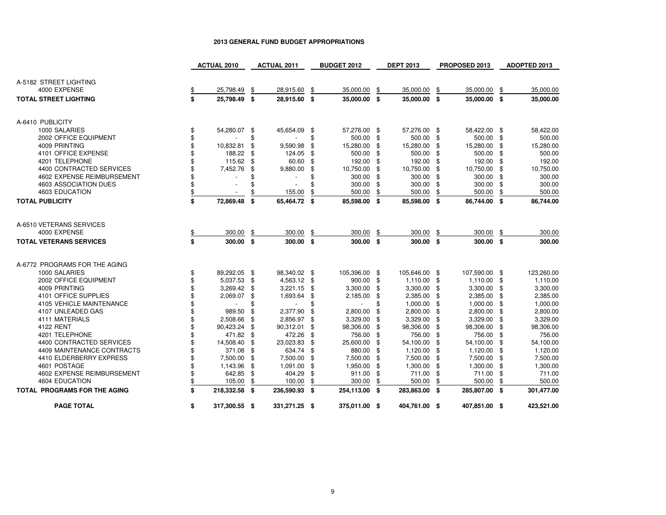|                                          | <b>ACTUAL 2010</b>             |      | <b>ACTUAL 2011</b> |      | <b>BUDGET 2012</b> |    | <b>DEPT 2013</b> |      | PROPOSED 2013 |     | ADOPTED 2013 |
|------------------------------------------|--------------------------------|------|--------------------|------|--------------------|----|------------------|------|---------------|-----|--------------|
|                                          |                                |      |                    |      |                    |    |                  |      |               |     |              |
| A-5182 STREET LIGHTING                   |                                |      |                    |      |                    |    |                  |      |               |     |              |
| 4000 EXPENSE                             | 25,798.49                      | \$   | 28,915.60          | \$   | 35,000.00          | \$ | 35,000.00        | \$   | 35,000.00     | \$  | 35,000.00    |
| <b>TOTAL STREET LIGHTING</b>             | \$<br>25,798.49 \$             |      | 28,915.60 \$       |      | 35,000.00 \$       |    | 35,000.00 \$     |      | 35,000.00 \$  |     | 35,000.00    |
|                                          |                                |      |                    |      |                    |    |                  |      |               |     |              |
|                                          |                                |      |                    |      |                    |    |                  |      |               |     |              |
| A-6410 PUBLICITY                         |                                |      |                    |      |                    |    |                  |      |               |     |              |
| 1000 SALARIES                            | \$<br>54,280.07 \$             |      | 45,654.09 \$       |      | 57,276.00 \$       |    | 57,276.00 \$     |      | 58,422.00 \$  |     | 58,422.00    |
| 2002 OFFICE EQUIPMENT                    | \$                             | \$   |                    | \$   | 500.00 \$          |    | 500.00 \$        |      | 500.00 \$     |     | 500.00       |
| 4009 PRINTING                            | 10,832.81                      | \$   | 9,590.98           | \$   | 15,280.00          | \$ | 15,280.00        | \$   | 15,280.00     | \$  | 15,280.00    |
| 4101 OFFICE EXPENSE                      | 188.22                         | \$   | 124.05             | \$   | 500.00 \$          |    | 500.00           | \$   | 500.00        | -\$ | 500.00       |
| 4201 TELEPHONE                           | \$<br>115.62                   | -\$  | 60.60              | \$   | 192.00 \$          |    | 192.00           | \$   | 192.00        | -\$ | 192.00       |
| 4400 CONTRACTED SERVICES                 | 7,452.76                       | \$   | 9,880.00           | S    | 10,750.00 \$       |    | 10,750.00        | \$   | 10,750.00 \$  |     | 10,750.00    |
| 4602 EXPENSE REIMBURSEMENT               |                                | \$   |                    | \$   | 300.00 \$          |    | 300.00           | \$   | 300.00 \$     |     | 300.00       |
| 4603 ASSOCIATION DUES                    |                                | \$   |                    |      | 300.00             | \$ | 300.00           | \$   | 300.00        | -\$ | 300.00       |
| 4603 EDUCATION                           | \$<br>$\overline{\phantom{a}}$ | \$   | 155.00             |      | 500.00             | S  | 500.00           | \$   | 500.00        | \$  | 500.00       |
| <b>TOTAL PUBLICITY</b>                   | \$<br>72,869.48                | - \$ | 65,464.72          | - \$ | 85,598.00 \$       |    | 85,598.00 \$     |      | 86,744.00 \$  |     | 86,744.00    |
|                                          |                                |      |                    |      |                    |    |                  |      |               |     |              |
|                                          |                                |      |                    |      |                    |    |                  |      |               |     |              |
| A-6510 VETERANS SERVICES<br>4000 EXPENSE |                                |      |                    |      |                    |    |                  |      |               |     |              |
|                                          | \$<br>300.00                   | \$   | 300.00             | \$   | 300.00             | \$ | 300.00           | \$   | 300.00        | \$  | 300.00       |
| <b>TOTAL VETERANS SERVICES</b>           | \$<br>$300.00$ \$              |      | $300.00$ \$        |      | $300.00$ \$        |    | 300.00 \$        |      | 300.00 \$     |     | 300.00       |
|                                          |                                |      |                    |      |                    |    |                  |      |               |     |              |
| A-6772 PROGRAMS FOR THE AGING            |                                |      |                    |      |                    |    |                  |      |               |     |              |
| 1000 SALARIES                            | \$<br>89,292.05 \$             |      | 98,340.02 \$       |      | 105,396.00 \$      |    | 105,646.00 \$    |      | 107,590.00 \$ |     | 123,260.00   |
| 2002 OFFICE EQUIPMENT                    | 5,037.53 \$                    |      | 4,563.12 \$        |      | 900.00 \$          |    | 1,110.00         | - \$ | 1,110.00 \$   |     | 1,110.00     |
| 4009 PRINTING                            | 3,269.42                       | - \$ | $3,221.15$ \$      |      | 3,300.00           | \$ | 3,300.00         | -\$  | $3,300.00$ \$ |     | 3,300.00     |
| 4101 OFFICE SUPPLIES                     | 2,069.07                       | \$   | 1,693.64           | \$   | 2,185.00 \$        |    | 2,385.00         | \$   | 2,385.00 \$   |     | 2,385.00     |
| 4105 VEHICLE MAINTENANCE                 |                                | \$   |                    | \$   |                    | \$ | 1,000.00         | \$   | 1,000.00      | -\$ | 1,000.00     |
| 4107 UNLEADED GAS                        | 989.50                         | \$   | 2,377.90           | \$   | 2,800.00           | ٩. | 2,800.00         | \$   | 2,800.00      | -\$ | 2,800.00     |
| 4111 MATERIALS                           | 2,508.66                       | -\$  | 2,856.97           | \$   | 3,329.00           | \$ | 3,329.00         | \$   | 3,329.00      | \$  | 3,329.00     |
| 4122 RENT                                | 90,423.24 \$                   |      | 90,312.01          | \$   | 98,306.00          | \$ | 98,306.00        | \$   | 98,306.00     | -\$ | 98,306.00    |
| 4201 TELEPHONE                           | 471.82                         | - \$ | 472.26             | \$   | 756.00 \$          |    | 756.00           | \$   | 756.00 \$     |     | 756.00       |
| 4400 CONTRACTED SERVICES                 | 14,508.40                      | \$   | 23,023.83          | \$   | 25,600.00 \$       |    | 54,100.00        | \$   | 54,100.00     | \$  | 54,100.00    |
| 4409 MAINTENANCE CONTRACTS               | 371.08                         | - \$ | 634.74             | \$   | 880.00 \$          |    | 1,120.00         | \$   | 1,120.00      | -\$ | 1,120.00     |
| 4410 ELDERBERRY EXPRESS                  | 7,500.00                       | - \$ | 7,500.00           | \$   | 7,500.00 \$        |    | 7,500.00         | \$   | 7,500.00 \$   |     | 7,500.00     |
| 4601 POSTAGE                             | \$<br>1,143.96                 | - \$ | 1,091.00 \$        |      | 1,950.00 \$        |    | 1,300.00         | \$   | 1,300.00      | \$  | 1,300.00     |
| 4602 EXPENSE REIMBURSEMENT               | 642.85                         | \$   | 404.29             | \$   | 911.00             | \$ | 711.00           | \$   | 711.00        | \$  | 711.00       |
| <b>4604 EDUCATION</b>                    | \$<br>105.00                   | \$   | 100.00             | \$   | 300.00             | \$ | 500.00           | \$   | 500.00        | \$  | 500.00       |
| <b>TOTAL PROGRAMS FOR THE AGING</b>      | \$<br>218,332.58 \$            |      | 236,590.93 \$      |      | 254,113.00 \$      |    | 283,863.00 \$    |      | 285,807.00 \$ |     | 301,477.00   |
|                                          |                                |      |                    |      |                    |    |                  |      |               |     |              |
| <b>PAGE TOTAL</b>                        | \$<br>317,300.55 \$            |      | 331,271.25 \$      |      | 375,011.00 \$      |    | 404,761.00 \$    |      | 407,851.00 \$ |     | 423,521.00   |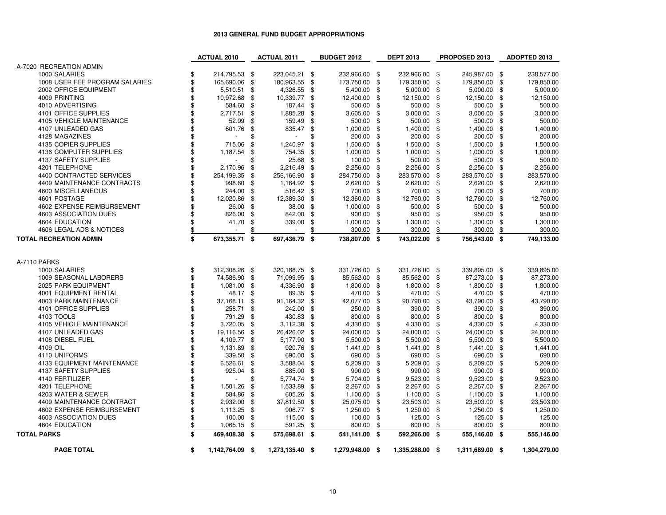|                                | <b>ACTUAL 2010</b>    |     | <b>ACTUAL 2011</b> |     | <b>BUDGET 2012</b> |    | <b>DEPT 2013</b> |      | PROPOSED 2013   |      | ADOPTED 2013 |
|--------------------------------|-----------------------|-----|--------------------|-----|--------------------|----|------------------|------|-----------------|------|--------------|
| A-7020 RECREATION ADMIN        |                       |     |                    |     |                    |    |                  |      |                 |      |              |
| 1000 SALARIES                  | \$<br>214,795.53 \$   |     | 223,045.21         | \$  | 232,966.00 \$      |    | 232,966.00       | \$   | 245,987.00 \$   |      | 238,577.00   |
| 1008 USER FEE PROGRAM SALARIES | \$<br>165,690.06      | \$  | 180,963.55         | \$  | 173,750.00         | \$ | 179,350.00       | \$   | 179,850.00      | \$   | 179,850.00   |
| 2002 OFFICE EQUIPMENT          | \$<br>5,510.51        | \$  | 4,326.55           | \$  | 5,400.00           | \$ | 5,000.00         | \$   | 5,000.00        | \$   | 5,000.00     |
| 4009 PRINTING                  | \$<br>10,972.68       | \$  | 10,339.77          | \$  | 12,400.00          | \$ | 12,150.00        | \$   | 12,150.00       | \$   | 12,150.00    |
| 4010 ADVERTISING               | \$<br>584.60          | \$  | 187.44             | \$  | 500.00             | \$ | 500.00           | \$   | 500.00          | \$   | 500.00       |
| 4101 OFFICE SUPPLIES           | \$<br>2,717.51        | \$  | 1,885.28           | \$  | 3,605.00           | \$ | 3,000.00         | \$   | 3,000.00        | \$   | 3,000.00     |
| 4105 VEHICLE MAINTENANCE       | \$<br>52.99           | \$  | 159.49             | \$  | 500.00             | \$ | 500.00           | \$   | 500.00          | \$   | 500.00       |
| 4107 UNLEADED GAS              | \$<br>601.76          | \$  | 835.47             | \$  | 1,000.00           | \$ | 1,400.00         | \$   | 1,400.00        | \$   | 1,400.00     |
| 4128 MAGAZINES                 | \$                    | \$  | $\overline{a}$     | \$  | 200.00             | £. | 200.00           | \$   | 200.00          | -\$  | 200.00       |
| 4135 COPIER SUPPLIES           | \$<br>715.06          | \$  | 1,240.97           | \$  | 1,500.00           | \$ | 1,500.00         | \$   | 1,500.00        | \$   | 1,500.00     |
| 4136 COMPUTER SUPPLIES         | \$<br>1,187.54        | S   | 754.35             | \$  | 1,000.00           | \$ | 1,000.00         | \$   | 1,000.00        | -\$  | 1,000.00     |
| 4137 SAFETY SUPPLIES           | \$                    | \$  | 25.68              | \$  | 100.00             | \$ | 500.00           | \$   | 500.00          | \$   | 500.00       |
| 4201 TELEPHONE                 | \$<br>2,170.96        | \$  | 2,216.49           | \$  | 2,256.00           | \$ | 2,256.00         | \$   | 2,256.00        | \$   | 2,256.00     |
| 4400 CONTRACTED SERVICES       | \$<br>254,199.35      | \$  | 256,166.90         | \$  | 284,750.00         | \$ | 283,570.00       | \$   | 283,570.00      | \$   | 283,570.00   |
| 4409 MAINTENANCE CONTRACTS     | \$<br>998.60          | \$  | 1,164.92           | \$  | 2,620.00           | \$ | 2,620.00         | \$   | 2,620.00        | \$   | 2,620.00     |
| 4600 MISCELLANEOUS             | \$<br>244.00          | \$  | 516.42             | \$  | 700.00             | \$ | 700.00           | \$   | 700.00          | \$   | 700.00       |
| 4601 POSTAGE                   | \$<br>12,020.86       | \$  | 12,389.30          | \$  | 12,360.00          | \$ | 12,760.00        | \$   | 12,760.00       | \$   | 12,760.00    |
| 4602 EXPENSE REIMBURSEMENT     | \$<br>26.00           | -\$ | 38.00              | \$  | 1,000.00           | \$ | 500.00           | \$   | 500.00          | - \$ | 500.00       |
| 4603 ASSOCIATION DUES          | \$<br>826.00          | \$  | 842.00             | \$  | 900.00             | \$ | 950.00           | \$   | 950.00          | \$   | 950.00       |
| 4604 EDUCATION                 | \$<br>41.70           | \$  | 339.00             | \$  | 1,000.00           | \$ | 1,300.00         | \$   | 1,300.00        | \$   | 1,300.00     |
| 4606 LEGAL ADS & NOTICES       | \$<br>$\overline{a}$  | \$  | $\overline{a}$     | \$  | 300.00             | \$ | 300.00           | \$   | 300.00          | \$   | 300.00       |
| <b>TOTAL RECREATION ADMIN</b>  | \$<br>673,355.71      | \$  | 697,436.79         | \$  | 738,807.00 \$      |    | 743,022.00 \$    |      | 756,543.00      | - \$ | 749,133.00   |
|                                |                       |     |                    |     |                    |    |                  |      |                 |      |              |
|                                |                       |     |                    |     |                    |    |                  |      |                 |      |              |
| A-7110 PARKS                   |                       |     |                    |     |                    |    |                  |      |                 |      |              |
| 1000 SALARIES                  | \$<br>312,308.26 \$   |     | 320,188.75         | -\$ | 331,726.00 \$      |    | 331,726.00       | - \$ | 339,895.00 \$   |      | 339,895.00   |
| 1009 SEASONAL LABORERS         | \$<br>74,586.90       | \$  | 71,099.95          | \$  | 85,562.00          | \$ | 85,562.00        | \$   | 87,273.00       | \$   | 87,273.00    |
| 2025 PARK EQUIPMENT            | \$<br>1,081.00        | \$  | 4,336.90           | \$  | 1,800.00           | \$ | 1,800.00         | \$   | 1,800.00        | -\$  | 1,800.00     |
| <b>4001 EQUIPMENT RENTAL</b>   | \$<br>48.17           | -\$ | 89.35              | \$  | 470.00             | \$ | 470.00           | \$   | 470.00          | \$   | 470.00       |
| 4003 PARK MAINTENANCE          | \$<br>37,168.11       | \$  | 91,164.32          | \$  | 42,077.00          | \$ | 90,790.00        | \$   | 43,790.00       | \$   | 43,790.00    |
| 4101 OFFICE SUPPLIES           | \$<br>258.71          | \$  | 242.00             | \$  | 250.00             | \$ | 390.00           | \$   | 390.00          | \$   | 390.00       |
| 4103 TOOLS                     | \$<br>791.29          | \$  | 430.83             | \$  | 800.00             | \$ | 800.00           | \$   | 800.00          | \$   | 800.00       |
| 4105 VEHICLE MAINTENANCE       | \$<br>3,720.05        | \$  | 3,112.38           | \$  | 4,330.00           | \$ | 4,330.00         | \$   | 4,330.00        | -\$  | 4,330.00     |
| 4107 UNLEADED GAS              | \$<br>19,116.56       | \$  | 26,426.02          | \$  | 24,000.00          | \$ | 24,000.00        | \$   | 24,000.00       | \$   | 24,000.00    |
| 4108 DIESEL FUEL               | \$<br>4,109.77        | \$  | 5,177.90           | \$  | 5,500.00           | \$ | 5,500.00         | \$   | 5,500.00        | \$   | 5,500.00     |
| 4109 OIL                       | \$<br>1,131.89        | \$  | 920.76             | \$  | 1,441.00           | \$ | 1,441.00         | \$   | 1,441.00        | \$   | 1,441.00     |
| 4110 UNIFORMS                  | \$<br>339.50          | \$  | 690.00             | \$  | 690.00             | £. | 690.00           | \$   | 690.00          | \$   | 690.00       |
| 4133 EQUIPMENT MAINTENANCE     | \$<br>6,526.61        | \$  | 3,588.04           | \$  | 5,209.00           | \$ | 5,209.00         | \$   | 5,209.00        | \$   | 5,209.00     |
| 4137 SAFETY SUPPLIES           | \$<br>925.04          | \$  | 885.00             | \$  | 990.00             | \$ | 990.00           | \$   | 990.00          | \$   | 990.00       |
| 4140 FERTILIZER                | \$                    | \$  | 5,774.74           | \$  | 5,704.00           | \$ | 9,523.00         | \$   | 9,523.00        | \$   | 9,523.00     |
| 4201 TELEPHONE                 | \$<br>1,501.26        | \$  | 1,533.89           | \$  | 2,267.00           | \$ | 2,267.00         | \$   | 2,267.00        | \$   | 2,267.00     |
| 4203 WATER & SEWER             | \$<br>584.86          | \$  | 605.26             | \$  | 1,100.00           | \$ | 1,100.00         | \$   | 1,100.00        | \$   | 1,100.00     |
| 4409 MAINTENANCE CONTRACT      | \$<br>2,932.00        | \$  | 37,819.50          | \$  | 25,075.00          | \$ | 23,503.00        | \$   | 23,503.00       | \$   | 23,503.00    |
| 4602 EXPENSE REIMBURSEMENT     | \$<br>1,113.25        | \$  | 906.77             | \$  | 1,250.00           | \$ | 1,250.00         | \$   | 1,250.00        | -\$  | 1,250.00     |
| 4603 ASSOCIATION DUES          | \$<br>100.00          | \$  | 115.00             | \$  | 100.00             | \$ | 125.00           | \$   | 125.00          | \$   | 125.00       |
| 4604 EDUCATION                 | \$<br>1,065.15        | \$  | 591.25             | \$  | 800.00             | \$ | 800.00           | \$   | 800.00          | \$   | 800.00       |
| <b>TOTAL PARKS</b>             | \$<br>469,408.38 \$   |     | 575,698.61         | \$  | 541,141.00 \$      |    | 592,266.00       | - \$ | 555,146.00 \$   |      | 555,146.00   |
|                                |                       |     |                    |     |                    |    |                  |      |                 |      |              |
| <b>PAGE TOTAL</b>              | \$<br>1,142,764.09 \$ |     | 1,273,135.40 \$    |     | 1,279,948.00 \$    |    | 1,335,288.00 \$  |      | 1,311,689.00 \$ |      | 1,304,279.00 |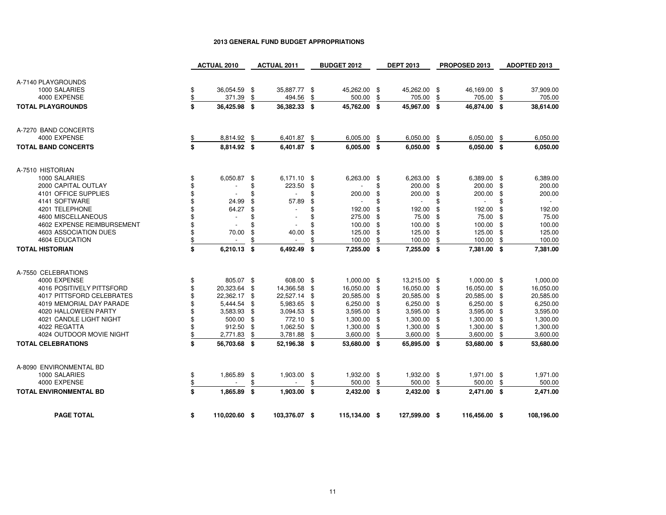|                               | <b>ACTUAL 2010</b>  |      | <b>ACTUAL 2011</b>       |      | <b>BUDGET 2012</b> |      | <b>DEPT 2013</b>         | PROPOSED 2013      |     | ADOPTED 2013 |
|-------------------------------|---------------------|------|--------------------------|------|--------------------|------|--------------------------|--------------------|-----|--------------|
|                               |                     |      |                          |      |                    |      |                          |                    |     |              |
| A-7140 PLAYGROUNDS            |                     |      |                          |      |                    |      |                          |                    |     |              |
| 1000 SALARIES                 | \$<br>36,054.59     | - \$ | 35,887.77 \$             |      | 45,262.00 \$       |      | 45,262.00 \$             | 46,169.00 \$       |     | 37,909.00    |
| 4000 EXPENSE                  | \$<br>371.39        | \$   | 494.56                   | \$   | 500.00             | \$   | 705.00                   | \$<br>705.00       | \$  | 705.00       |
| <b>TOTAL PLAYGROUNDS</b>      | \$<br>36,425.98 \$  |      | 36,382.33                | - \$ | 45,762.00 \$       |      | 45,967.00 \$             | 46,874.00 \$       |     | 38,614.00    |
|                               |                     |      |                          |      |                    |      |                          |                    |     |              |
|                               |                     |      |                          |      |                    |      |                          |                    |     |              |
| A-7270 BAND CONCERTS          |                     |      |                          |      |                    |      |                          |                    |     |              |
| 4000 EXPENSE                  | 8,814.92            | \$   | 6,401.87 \$              |      | 6,005.00           | \$   | 6,050.00                 | \$<br>6,050.00     | \$  | 6,050.00     |
| <b>TOTAL BAND CONCERTS</b>    | \$<br>8,814.92 \$   |      | 6,401.87 \$              |      | $6,005.00$ \$      |      | 6,050.00 \$              | $6,050.00$ \$      |     | 6,050.00     |
|                               |                     |      |                          |      |                    |      |                          |                    |     |              |
|                               |                     |      |                          |      |                    |      |                          |                    |     |              |
| A-7510 HISTORIAN              |                     |      |                          |      |                    |      |                          |                    |     |              |
| 1000 SALARIES                 | \$<br>6,050.87      | -\$  | $6,171.10$ \$            |      | 6,263.00           | - \$ | 6,263.00 \$              | 6,389.00 \$        |     | 6,389.00     |
| 2000 CAPITAL OUTLAY           |                     | \$   | 223.50                   | \$   |                    | \$   | 200.00                   | \$<br>200.00       | \$  | 200.00       |
| 4101 OFFICE SUPPLIES          | \$                  | \$   | $\overline{a}$           | \$   | 200.00             | \$   | 200.00                   | \$<br>200.00       | \$  | 200.00       |
| 4141 SOFTWARE                 | 24.99               | \$   | 57.89                    | \$   | $\overline{a}$     | \$   | $\overline{\phantom{a}}$ | \$<br>$\sim$       | \$  | $\sim$       |
| 4201 TELEPHONE                | 64.27               | \$   |                          | \$   | 192.00             | £.   | 192.00                   | \$<br>192.00       | \$  | 192.00       |
| 4600 MISCELLANEOUS            | $\sim$              | \$   | $\overline{\phantom{a}}$ | \$   | 275.00             | \$   | 75.00                    | \$<br>75.00        | -\$ | 75.00        |
| 4602 EXPENSE REIMBURSEMENT    |                     | \$   |                          | \$   | 100.00             | \$   | 100.00                   | \$<br>100.00       | \$  | 100.00       |
| 4603 ASSOCIATION DUES         | \$<br>70.00         | \$   | 40.00                    | \$   | 125.00             | \$   | 125.00                   | \$<br>125.00       | \$  | 125.00       |
| 4604 EDUCATION                | \$<br>$\sim$        | \$   |                          | \$   | 100.00             | \$   | 100.00                   | \$<br>100.00       | \$  | 100.00       |
|                               |                     |      |                          |      |                    |      |                          |                    |     |              |
| <b>TOTAL HISTORIAN</b>        | \$<br>6,210.13      | \$   | 6,492.49                 | \$   | 7,255.00 \$        |      | 7,255.00 \$              | 7,381.00 \$        |     | 7,381.00     |
| A-7550 CELEBRATIONS           |                     |      |                          |      |                    |      |                          |                    |     |              |
| 4000 EXPENSE                  |                     |      |                          |      | $1,000.00$ \$      |      |                          | 1,000.00 \$        |     |              |
|                               | \$<br>805.07 \$     |      | 608.00 \$                |      |                    |      | 13,215.00 \$             |                    |     | 1,000.00     |
| 4016 POSITIVELY PITTSFORD     | \$<br>20,323.64     | \$   | 14,366.58                | \$   | 16,050.00 \$       |      | 16,050.00                | \$<br>16,050.00 \$ |     | 16,050.00    |
| 4017 PITTSFORD CELEBRATES     | 22,362.17 \$        |      | 22,527.14 \$             |      | 20,585.00 \$       |      | 20,585.00                | \$<br>20,585.00    | -\$ | 20,585.00    |
| 4019 MEMORIAL DAY PARADE      | 5,444.54            | \$   | 5,983.65                 | \$   | 6,250.00           | -\$  | 6,250.00                 | \$<br>6,250.00 \$  |     | 6,250.00     |
| 4020 HALLOWEEN PARTY          | 3,583.93            | \$   | 3,094.53                 | \$   | 3,595.00           | -\$  | 3,595.00                 | \$<br>3,595.00     | -\$ | 3,595.00     |
| 4021 CANDLE LIGHT NIGHT       | 500.00              | \$   | 772.10                   | \$   | 1,300.00           | \$   | 1,300.00                 | \$<br>1,300.00     | \$  | 1,300.00     |
| 4022 REGATTA                  | 912.50              | \$   | 1,062.50                 | \$   | 1,300.00           | \$   | 1,300.00                 | \$<br>1,300.00     | \$  | 1,300.00     |
| 4024 OUTDOOR MOVIE NIGHT      | \$<br>2,771.83      | \$   | 3,781.88                 | \$   | 3,600.00           | \$   | 3,600.00                 | \$<br>3,600.00     | \$  | 3,600.00     |
| <b>TOTAL CELEBRATIONS</b>     | \$<br>56,703.68 \$  |      | 52,196.38 \$             |      | 53,680.00 \$       |      | 65,895.00 \$             | 53,680.00 \$       |     | 53,680.00    |
|                               |                     |      |                          |      |                    |      |                          |                    |     |              |
| A-8090 ENVIRONMENTAL BD       |                     |      |                          |      |                    |      |                          |                    |     |              |
| 1000 SALARIES                 | \$<br>1,865.89      | \$   | 1,903.00                 | \$   | 1,932.00 \$        |      | 1,932.00 \$              | 1,971.00 \$        |     | 1,971.00     |
| 4000 EXPENSE                  | \$                  | \$   |                          | \$   | 500.00             | \$   | 500.00                   | \$<br>500.00       | \$  | 500.00       |
| <b>TOTAL ENVIRONMENTAL BD</b> | \$<br>1,865.89 \$   |      | 1,903.00 \$              |      | 2,432.00 \$        |      | 2,432.00 \$              | 2,471.00 \$        |     | 2,471.00     |
|                               |                     |      |                          |      |                    |      |                          |                    |     |              |
| <b>PAGE TOTAL</b>             | \$<br>110,020.60 \$ |      | 103,376.07 \$            |      | 115,134.00 \$      |      | 127,599.00 \$            | 116,456.00 \$      |     | 108,196.00   |
|                               |                     |      |                          |      |                    |      |                          |                    |     |              |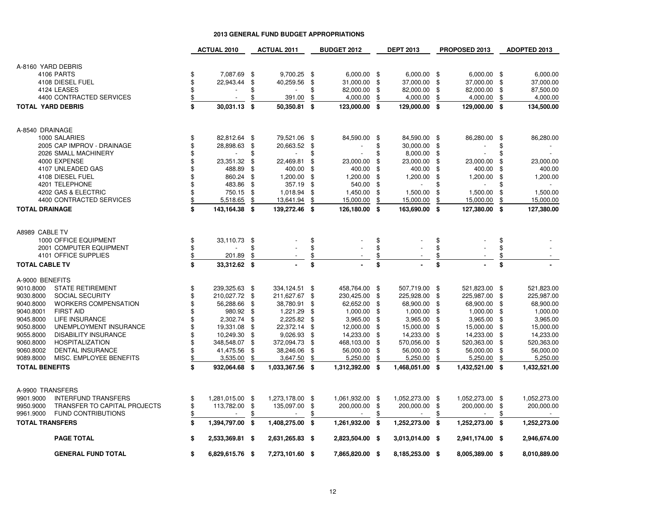|                                           |                          | <b>ACTUAL 2010</b>       |     | <b>ACTUAL 2011</b> |     | <b>BUDGET 2012</b>       |               | <b>DEPT 2013</b>         |      | PROPOSED 2013            |    | <b>ADOPTED 2013</b> |
|-------------------------------------------|--------------------------|--------------------------|-----|--------------------|-----|--------------------------|---------------|--------------------------|------|--------------------------|----|---------------------|
|                                           |                          |                          |     |                    |     |                          |               |                          |      |                          |    |                     |
| A-8160 YARD DEBRIS                        |                          |                          |     |                    |     |                          |               |                          |      |                          |    |                     |
| 4106 PARTS                                | \$                       | 7.087.69                 | \$  | 9.700.25           | \$  | 6.000.00                 | -\$           | 6.000.00                 | - \$ | 6.000.00                 | \$ | 6.000.00            |
| 4108 DIESEL FUEL                          | \$                       | 22,943.44                | \$  | 40,259.56          | \$  | 31,000.00                | \$            | 37,000.00                | -\$  | 37,000.00                | \$ | 37,000.00           |
| 4124 LEASES                               | \$                       |                          | \$  |                    | \$  | 82,000.00                | \$            | 82,000.00                | \$   | 82,000.00                | \$ | 87,500.00           |
| 4400 CONTRACTED SERVICES                  |                          | $\overline{a}$           | \$  | 391.00             | \$  | 4,000.00                 | \$            | 4,000.00                 | \$   | 4,000.00                 | \$ | 4,000.00            |
|                                           | $\overline{\mathcal{L}}$ |                          |     |                    |     |                          |               |                          |      |                          |    |                     |
| <b>TOTAL YARD DEBRIS</b>                  | \$                       | 30,031.13                | \$  | 50,350.81          | \$  | 123,000.00               | \$            | 129,000.00               | - \$ | 129,000.00               | \$ | 134,500.00          |
| A-8540 DRAINAGE                           |                          |                          |     |                    |     |                          |               |                          |      |                          |    |                     |
| 1000 SALARIES                             | \$                       | 82,812.64 \$             |     | 79,521.06 \$       |     | 84,590.00                | \$            | 84,590.00                | - \$ | 86,280.00                | \$ | 86,280.00           |
| 2005 CAP IMPROV - DRAINAGE                | \$                       | 28,898.63                | \$  | 20,663.52          | \$  |                          | \$            | 30,000.00                | -\$  | $\overline{\phantom{a}}$ | \$ |                     |
| 2026 SMALL MACHINERY                      | \$                       |                          | \$  |                    | \$  | $\overline{a}$           | \$            | 8,000.00                 | -\$  | $\blacksquare$           | \$ | $\sim$              |
| 4000 EXPENSE                              | \$                       | 23,351.32                | \$  | 22,469.81          | \$  | 23,000.00                | \$            | 23,000.00                | \$   | 23,000.00                | \$ | 23,000.00           |
| 4107 UNLEADED GAS                         | \$                       | 488.89                   | \$  | 400.00             | \$  | 400.00                   | \$            | 400.00                   | \$   | 400.00                   | \$ | 400.00              |
|                                           |                          |                          |     |                    |     |                          |               |                          |      |                          |    |                     |
| 4108 DIESEL FUEL                          | \$                       | 860.24                   | \$  | 1,200.00           | \$  | 1,200.00                 | \$            | 1,200.00                 | \$   | 1,200.00                 | \$ | 1,200.00            |
| 4201 TELEPHONE                            | \$                       | 483.86                   | \$  | 357.19             | \$  | 540.00                   | \$            |                          | \$   |                          |    |                     |
| 4202 GAS & ELECTRIC                       | \$                       | 750.15                   | \$  | 1,018.94           | \$  | 1,450.00                 | \$            | 1,500.00                 | \$   | 1,500.00                 | S  | 1,500.00            |
| 4400 CONTRACTED SERVICES                  | \$                       | 5,518.65                 | \$  | 13,641.94          | \$  | 15,000.00                | \$            | 15,000.00                | \$   | 15,000.00                | \$ | 15,000.00           |
| <b>TOTAL DRAINAGE</b>                     | \$                       | 143,164.38 \$            |     | 139,272.46 \$      |     | 126,180.00               | \$            | 163,690.00               | - \$ | 127,380.00               | \$ | 127,380.00          |
| A8989 CABLE TV                            |                          |                          |     |                    |     |                          |               |                          |      |                          |    |                     |
| 1000 OFFICE EQUIPMENT                     | \$                       | 33,110.73                | \$  |                    | \$  |                          | \$            |                          | \$   |                          | \$ |                     |
| 2001 COMPUTER EQUIPMENT                   | \$                       | $\overline{a}$           | \$  |                    | \$  |                          | \$            |                          | \$   |                          | \$ |                     |
| 4101 OFFICE SUPPLIES                      | $$\mathbb{S}$$           | 201.89                   |     |                    |     |                          |               |                          |      |                          |    |                     |
|                                           |                          |                          | \$  |                    | \$  |                          | $\frac{1}{2}$ |                          | \$   |                          | \$ |                     |
| <b>TOTAL CABLE TV</b>                     | \$                       | 33,312.62 \$             |     |                    | \$  |                          | \$            |                          | \$   |                          | \$ |                     |
| A-9000 BENEFITS                           |                          |                          |     |                    |     |                          |               |                          |      |                          |    |                     |
| 9010.8000<br><b>STATE RETIREMENT</b>      | \$                       | 239,325.63               | -\$ | 334,124.51         | \$  | 458,764.00               | \$            | 507,719.00               | - \$ | 521,823.00               | \$ | 521,823.00          |
| 9030.8000<br>SOCIAL SECURITY              | \$                       | 210,027.72               | \$  | 211,627.67         | \$  | 230,425.00               | \$            | 225,928.00               | \$   | 225,987.00               | \$ | 225,987.00          |
| 9040.8000<br><b>WORKERS COMPENSATION</b>  | \$                       | 56,288.66                | \$  | 38,780.91          | \$  | 62,652.00                | \$            | 68,900.00                | \$   | 68,900.00                | \$ | 68.900.00           |
| 9040.8001<br><b>FIRST AID</b>             | \$                       | 980.92                   | \$  | 1,221.29           | \$  | 1,000.00                 | \$            | 1,000.00                 | \$   | 1,000.00                 | \$ | 1,000.00            |
| 9045.8000<br><b>LIFE INSURANCE</b>        | \$                       | 2.302.74                 | \$  | 2,225.82           | \$  | 3,965.00                 | \$            | 3,965.00                 | -\$  | 3,965.00                 | \$ | 3,965.00            |
| 9050.8000<br>UNEMPLOYMENT INSURANCE       | \$                       | 19,331.08                | \$  | 22,372.14          | \$  | 12,000.00                | \$            | 15,000.00                | \$   | 15,000.00                | \$ | 15,000.00           |
| <b>DISABILITY INSURANCE</b><br>9055.8000  | \$                       | 10,249.30                | \$  | 9,026.93           | \$  | 14,233.00                | \$            | 14,233.00                | \$   | 14,233.00                | \$ | 14,233.00           |
| 9060.8000<br><b>HOSPITALIZATION</b>       | \$                       | 348,548.07               | \$  | 372,094.73         | \$  | 468,103.00               | \$            | 570,056.00               | \$   | 520,363.00               | \$ | 520,363.00          |
| 9060.8002<br><b>DENTAL INSURANCE</b>      | \$                       | 41,475.56                | \$  | 38,246.06          | \$  | 56,000.00                | \$            | 56,000.00                | \$   | 56,000.00                | \$ | 56,000.00           |
| 9089.8000<br>MISC. EMPLOYEE BENEFITS      | \$                       |                          | \$  |                    |     |                          | \$            |                          |      |                          | \$ |                     |
|                                           |                          | 3,535.00                 |     | 3,647.50           | \$  | 5,250.00                 |               | 5,250.00                 | \$   | 5,250.00                 |    | 5,250.00            |
| <b>TOTAL BENEFITS</b>                     | \$                       | 932,064.68               | \$  | 1,033,367.56 \$    |     | 1,312,392.00             | \$            | 1,468,051.00             | - \$ | 1,432,521.00             | \$ | 1,432,521.00        |
| A-9900 TRANSFERS                          |                          |                          |     |                    |     |                          |               |                          |      |                          |    |                     |
| 9901.9000<br><b>INTERFUND TRANSFERS</b>   | \$                       | 1,281,015.00             | \$  | 1,273,178.00       | -\$ | 1,061,932.00             | -\$           | 1,052,273.00             | - \$ | 1,052,273.00             | \$ | 1,052,273.00        |
| TRANSFER TO CAPITAL PROJECTS<br>9950.9000 | \$                       | 113,782.00               | \$  | 135,097.00         | \$  | 200,000.00               | \$            | 200,000.00               | \$   | 200,000.00               | \$ | 200,000.00          |
| <b>FUND CONTRIBUTIONS</b><br>9961.9000    | \$                       | $\overline{\phantom{a}}$ | \$  |                    | \$  | $\overline{\phantom{a}}$ | \$            | $\overline{\phantom{a}}$ | \$   |                          | \$ | $\sim$              |
| <b>TOTAL TRANSFERS</b>                    | \$                       | 1,394,797.00             | \$  | 1,408,275.00       | \$  | 1,261,932.00             | \$            | 1,252,273.00             | - \$ | 1,252,273.00             | \$ | 1,252,273.00        |
| <b>PAGE TOTAL</b>                         | \$                       | 2,533,369.81 \$          |     | 2,631,265.83 \$    |     | 2,823,504.00             | - \$          | 3,013,014.00 \$          |      | 2,941,174.00 \$          |    | 2,946,674.00        |
| <b>GENERAL FUND TOTAL</b>                 | \$                       | 6,829,615.76 \$          |     | 7,273,101.60 \$    |     | 7,865,820.00 \$          |               | 8,185,253.00 \$          |      | 8,005,389.00 \$          |    | 8,010,889.00        |
|                                           |                          |                          |     |                    |     |                          |               |                          |      |                          |    |                     |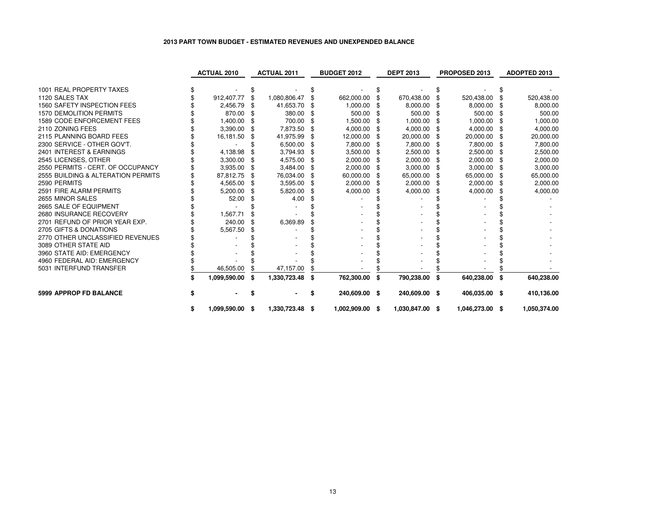# **2013 PART TOWN BUDGET - ESTIMATED REVENUES AND UNEXPENDED BALANCE**

|                                    |   | <b>ACTUAL 2010</b> |    | <b>ACTUAL 2011</b> | <b>BUDGET 2012</b>  |      | <b>DEPT 2013</b> |     | PROPOSED 2013   |    | <b>ADOPTED 2013</b> |
|------------------------------------|---|--------------------|----|--------------------|---------------------|------|------------------|-----|-----------------|----|---------------------|
|                                    |   |                    |    |                    |                     |      |                  |     |                 |    |                     |
| 1001 REAL PROPERTY TAXES           |   |                    |    |                    |                     |      |                  |     |                 |    |                     |
| 1120 SALES TAX                     |   | 912,407.77         | \$ | 1,080,806.47       | \$<br>662,000.00    |      | 670,438.00       |     | 520,438.00      |    | 520,438.00          |
| 1560 SAFETY INSPECTION FEES        |   | 2,456.79           |    | 41,653.70          | 1,000.00            |      | 8,000.00         |     | 8,000.00        |    | 8,000.00            |
| <b>1570 DEMOLITION PERMITS</b>     |   | 870.00             |    | 380.00             | 500.00              |      | 500.00           |     | 500.00          |    | 500.00              |
| 1589 CODE ENFORCEMENT FEES         |   | 1,400.00           | \$ | 700.00             | \$<br>1,500.00      | \$   | 1,000.00         | \$  | 1,000.00        |    | 1,000.00            |
| 2110 ZONING FEES                   |   | 3,390.00           | Я. | 7,873.50           | 4,000.00            | \$.  | 4,000.00         |     | 4,000.00        |    | 4,000.00            |
| 2115 PLANNING BOARD FEES           |   | 16,181.50          |    | 41,975.99          | \$<br>12,000.00     | -\$  | 20,000.00        |     | 20,000.00       |    | 20,000.00           |
| 2300 SERVICE - OTHER GOV'T.        |   |                    |    | 6,500.00           | 7,800.00            | \$   | 7,800.00         | \$. | 7,800.00        |    | 7,800.00            |
| 2401 INTEREST & EARNINGS           |   | 4,138.98           |    | 3,794.93           | 3,500.00            | - \$ | 2,500.00         |     | 2,500.00        |    | 2,500.00            |
| 2545 LICENSES, OTHER               |   | 3,300.00           |    | 4,575.00           | 2,000.00            | \$   | 2,000.00         |     | 2,000.00        |    | 2,000.00            |
| 2550 PERMITS - CERT. OF OCCUPANCY  |   | 3,935.00           | £. | 3,484.00           | \$<br>2,000.00      | \$   | 3,000.00         | \$  | 3,000.00        | -5 | 3,000.00            |
| 2555 BUILDING & ALTERATION PERMITS |   | 87,812.75          |    | 76,034.00          | 60,000.00           |      | 65,000.00        |     | 65,000.00       |    | 65,000.00           |
| 2590 PERMITS                       |   | 4,565.00           | £. | 3,595.00           | \$<br>2,000.00      | \$   | 2,000.00         | \$  | 2,000.00        |    | 2,000.00            |
| 2591 FIRE ALARM PERMITS            |   | 5,200.00           |    | 5,820.00           | \$<br>4,000.00      |      | 4,000.00         |     | 4,000.00        |    | 4,000.00            |
| 2655 MINOR SALES                   |   | 52.00              |    | 4.00               |                     |      |                  |     |                 |    |                     |
| 2665 SALE OF EQUIPMENT             |   |                    |    |                    |                     |      |                  |     |                 |    |                     |
| 2680 INSURANCE RECOVERY            |   | 1,567.71           |    |                    |                     |      |                  |     |                 |    |                     |
| 2701 REFUND OF PRIOR YEAR EXP.     |   | 240.00             |    | 6,369.89           |                     |      |                  |     |                 |    |                     |
| 2705 GIFTS & DONATIONS             |   | 5,567.50           |    |                    |                     |      |                  |     |                 |    |                     |
| 2770 OTHER UNCLASSIFIED REVENUES   |   |                    |    |                    |                     |      |                  |     |                 |    |                     |
| 3089 OTHER STATE AID               |   |                    |    |                    |                     |      |                  |     |                 |    |                     |
| 3960 STATE AID: EMERGENCY          |   |                    |    |                    |                     |      |                  |     |                 |    |                     |
| 4960 FEDERAL AID: EMERGENCY        |   |                    |    |                    |                     |      |                  |     |                 |    |                     |
| 5031 INTERFUND TRANSFER            |   | 46,505.00          |    | 47,157.00          |                     |      |                  |     |                 |    |                     |
|                                    |   | 1,099,590.00       | \$ | 1,330,723.48       | \$<br>762,300.00    | \$   | 790,238.00       | \$  | 640,238.00      | \$ | 640,238.00          |
| <b>5999 APPROP FD BALANCE</b>      |   |                    |    | ۰.                 | \$<br>240,609.00 \$ |      | 240,609.00 \$    |     | 406,035.00 \$   |    | 410,136.00          |
|                                    | S | 1,099,590.00       | -S | 1,330,723.48 \$    | 1,002,909.00        | - \$ | 1,030,847.00     | \$  | 1,046,273.00 \$ |    | 1,050,374.00        |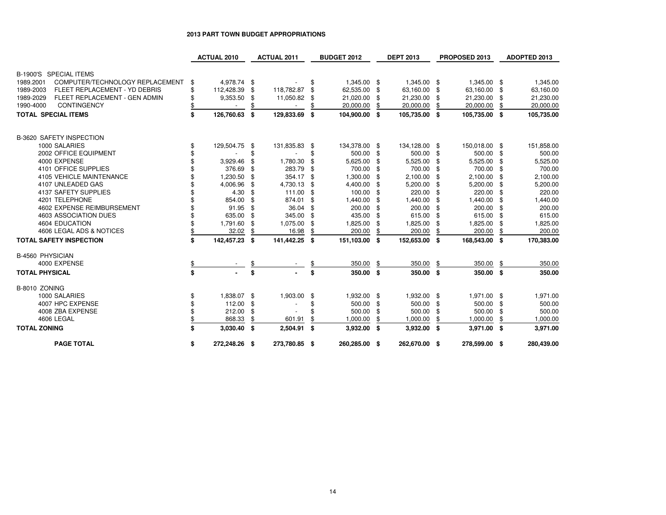### **2013 PART TOWN BUDGET APPROPRIATIONS**

|                                                   | <b>ACTUAL 2010</b>  |      | <b>ACTUAL 2011</b> |     | <b>BUDGET 2012</b> |      | <b>DEPT 2013</b> | PROPOSED 2013      |      | ADOPTED 2013 |
|---------------------------------------------------|---------------------|------|--------------------|-----|--------------------|------|------------------|--------------------|------|--------------|
|                                                   |                     |      |                    |     |                    |      |                  |                    |      |              |
| B-1900'S SPECIAL ITEMS                            |                     |      |                    |     |                    |      |                  |                    |      |              |
| COMPUTER/TECHNOLOGY REPLACEMENT<br>1989.2001      | \$<br>4,978.74 \$   |      |                    | \$  | 1,345.00 \$        |      | 1,345.00         | \$<br>1,345.00 \$  |      | 1,345.00     |
| 1989-2003<br><b>FLEET REPLACEMENT - YD DEBRIS</b> | \$<br>112,428.39    | - \$ | 118,782.87         | \$  | 62,535.00          | - \$ | 63,160.00        | \$<br>63,160.00 \$ |      | 63,160.00    |
| FLEET REPLACEMENT - GEN ADMIN<br>1989-2029        | \$<br>9,353.50      | \$   | 11,050.82          | \$  | 21,020.00          | \$   | 21,230.00        | \$<br>21,230.00    | -\$  | 21,230.00    |
| 1990-4000<br><b>CONTINGENCY</b>                   |                     |      |                    |     | 20,000.00          | \$   | 20,000.00        | 20,000.00          | \$   | 20,000.00    |
| <b>TOTAL SPECIAL ITEMS</b>                        | \$<br>126,760.63    | \$   | 129,833.69         | -\$ | 104,900.00 \$      |      | 105,735.00 \$    | 105,735.00 \$      |      | 105,735.00   |
| <b>B-3620 SAFETY INSPECTION</b>                   |                     |      |                    |     |                    |      |                  |                    |      |              |
| 1000 SALARIES                                     | \$<br>129,504.75    | - \$ | 131,835.83 \$      |     | 134,378.00 \$      |      | 134,128.00 \$    | 150,018.00 \$      |      | 151,858.00   |
| 2002 OFFICE EQUIPMENT                             |                     | \$   |                    | \$  | 500.00 \$          |      | 500.00           | \$<br>500.00 \$    |      | 500.00       |
| 4000 EXPENSE                                      | 3,929.46            | \$   | 1,780.30           | \$. | 5,625.00           | \$   | 5,525.00         | 5,525.00           | - \$ | 5,525.00     |
| 4101 OFFICE SUPPLIES                              | 376.69              | -\$  | 283.79             | \$  | 700.00             | -\$  | 700.00           | 700.00             | - \$ | 700.00       |
| 4105 VEHICLE MAINTENANCE                          | 1,230.50            | -\$  | 354.17             | -\$ | 1,300.00           | -\$  | 2,100.00         | 2,100.00           | - \$ | 2,100.00     |
| 4107 UNLEADED GAS                                 | 4,006.96            | -\$  | 4,730.13           | -\$ | 4,400.00           | \$   | 5,200.00         | \$<br>5,200.00     | -\$  | 5,200.00     |
| 4137 SAFETY SUPPLIES                              | 4.30                | \$   | 111.00             | -\$ | 100.00             | \$   | 220.00           | 220.00             | -\$  | 220.00       |
| 4201 TELEPHONE                                    | 854.00              | \$   | 874.01             | -\$ | 1,440.00           | £.   | 1,440.00         | 1,440.00           | \$   | 1,440.00     |
| 4602 EXPENSE REIMBURSEMENT                        | 91.95               | -\$  | 36.04              | \$  | 200.00             | £.   | 200.00           | 200.00             | \$   | 200.00       |
| 4603 ASSOCIATION DUES                             | 635.00              | -\$  | 345.00             | -\$ | 435.00             | \$   | 615.00           | 615.00             | - \$ | 615.00       |
| 4604 EDUCATION                                    | 1,791.60            | \$   | 1,075.00           | \$  | 1,825.00           | \$.  | 1,825.00         | 1,825.00           | \$   | 1,825.00     |
| 4606 LEGAL ADS & NOTICES                          | \$<br>32.02         | \$   | 16.98              |     | 200.00             |      | 200.00           | 200.00             | \$.  | 200.00       |
| <b>TOTAL SAFETY INSPECTION</b>                    | \$<br>142,457.23 \$ |      | 141,442.25 \$      |     | 151,103.00 \$      |      | 152,653.00 \$    | 168,543.00 \$      |      | 170,383.00   |
| <b>B-4560 PHYSICIAN</b>                           |                     |      |                    |     |                    |      |                  |                    |      |              |
| 4000 EXPENSE                                      | \$                  |      |                    |     | 350.00             | \$   | 350.00           | \$<br>350.00       | \$   | 350.00       |
| <b>TOTAL PHYSICAL</b>                             | \$                  | \$   |                    | \$  | 350.00 \$          |      | 350.00 \$        | 350.00             | -\$  | 350.00       |
| B-8010 ZONING                                     |                     |      |                    |     |                    |      |                  |                    |      |              |
| 1000 SALARIES                                     | \$<br>1,838.07 \$   |      | 1,903.00           | \$  | 1,932.00 \$        |      | 1,932.00 \$      | 1,971.00 \$        |      | 1,971.00     |
| 4007 HPC EXPENSE                                  | 112.00              | -\$  |                    | \$  | 500.00             | - \$ | 500.00           | \$<br>500.00 \$    |      | 500.00       |
| 4008 ZBA EXPENSE                                  | 212.00              | \$   |                    |     | 500.00             | \$   | 500.00           | 500.00             | \$   | 500.00       |
| 4606 LEGAL                                        | 868.33              | \$   | 601.91             |     | 1,000.00           |      | 1,000.00         | 1,000.00           | \$   | 1,000.00     |
| <b>TOTAL ZONING</b>                               | \$<br>3,030.40 \$   |      | 2,504.91           | -\$ | $3,932.00$ \$      |      | $3,932.00$ \$    | 3,971.00 \$        |      | 3,971.00     |
| <b>PAGE TOTAL</b>                                 | \$<br>272,248.26 \$ |      | 273,780.85 \$      |     | 260,285.00 \$      |      | 262,670.00 \$    | 278,599.00 \$      |      | 280,439.00   |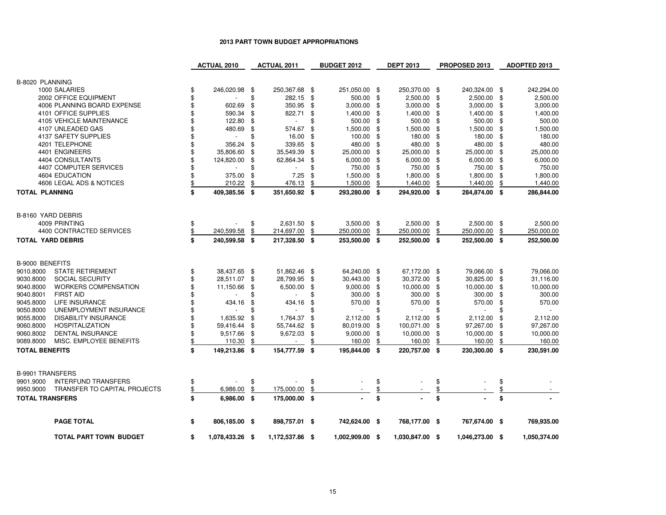# **2013 PART TOWN BUDGET APPROPRIATIONS**

|                          |                               | <b>ACTUAL 2010</b>    |      | <b>ACTUAL 2011</b>        | <b>BUDGET 2012</b>                |                  | <b>DEPT 2013</b> |          | PROPOSED 2013             |     | ADOPTED 2013 |
|--------------------------|-------------------------------|-----------------------|------|---------------------------|-----------------------------------|------------------|------------------|----------|---------------------------|-----|--------------|
|                          |                               |                       |      |                           |                                   |                  |                  |          |                           |     |              |
| B-8020 PLANNING          |                               |                       |      |                           |                                   |                  |                  |          |                           |     |              |
|                          | 1000 SALARIES                 | \$<br>246,020.98 \$   |      | 250,367.68 \$             | 251,050.00 \$                     |                  | 250,370.00       | \$       | 240,324.00 \$             |     | 242,294.00   |
|                          | 2002 OFFICE EQUIPMENT         | \$                    | \$   | 282.15                    | \$<br>500.00                      | \$               | 2,500.00         | \$       | 2,500.00                  | \$  | 2,500.00     |
|                          | 4006 PLANNING BOARD EXPENSE   | \$<br>602.69          | \$   | 350.95                    | \$<br>3,000.00                    | \$               | 3,000.00         | \$       | 3,000.00                  | \$  | 3,000.00     |
|                          | 4101 OFFICE SUPPLIES          | \$<br>590.34          | \$   | 822.71                    | \$<br>1,400.00                    | \$               | 1,400.00         | \$       | 1,400.00                  | \$  | 1,400.00     |
|                          | 4105 VEHICLE MAINTENANCE      | \$<br>122.80          | \$   |                           | \$<br>500.00                      | \$               | 500.00           | \$       | 500.00                    | \$  | 500.00       |
|                          | 4107 UNLEADED GAS             | 480.69                | \$   | 574.67                    | \$<br>1,500.00                    | \$               | 1,500.00         | \$       | 1,500.00                  | -\$ | 1,500.00     |
|                          | 4137 SAFETY SUPPLIES          | \$                    | \$   | 16.00                     | \$<br>100.00                      | \$               | 180.00           | \$       | 180.00                    | \$  | 180.00       |
|                          | 4201 TELEPHONE                | \$<br>356.24          | \$   | 339.65                    | \$<br>480.00                      | \$               | 480.00           | \$       | 480.00                    | \$  | 480.00       |
|                          | 4401 ENGINEERS                | \$<br>35,806.60       | \$   | 35,549.39                 | \$<br>25,000.00                   | \$               | 25,000.00        | \$       | 25,000.00                 | \$  | 25,000.00    |
|                          | 4404 CONSULTANTS              | \$<br>124,820.00      | \$   | 62,864.34                 | \$<br>6,000.00                    | \$               | 6,000.00         | S        | 6,000.00                  | \$  | 6,000.00     |
|                          | 4407 COMPUTER SERVICES        | \$                    | \$   |                           | \$<br>750.00                      | \$               | 750.00           | \$       | 750.00                    | \$  | 750.00       |
|                          | 4604 EDUCATION                | \$<br>375.00          | \$   | 7.25                      | \$<br>1,500.00                    | \$               | 1,800.00         | \$       | 1,800.00                  | £.  | 1,800.00     |
|                          | 4606 LEGAL ADS & NOTICES      | \$<br>210.22          | \$   | 476.13                    | \$<br>1,500.00                    | \$               | 1,440.00         | \$       | 1,440.00                  | \$  | 1,440.00     |
| <b>TOTAL PLANNING</b>    |                               | \$<br>409,385.56      | - \$ | 351,650.92 \$             | 293,280.00 \$                     |                  | 294,920.00 \$    |          | 284,874.00 \$             |     | 286,844.00   |
|                          |                               |                       |      |                           |                                   |                  |                  |          |                           |     |              |
|                          |                               |                       |      |                           |                                   |                  |                  |          |                           |     |              |
| B-8160 YARD DEBRIS       | 4009 PRINTING                 | \$                    | \$   |                           |                                   |                  | 2,500.00         |          |                           |     | 2,500.00     |
|                          | 4400 CONTRACTED SERVICES      | \$<br>240,599.58      | \$   | 2,631.50 \$<br>214,697.00 | \$<br>$3,500.00$ \$<br>250,000.00 | \$               | 250,000.00       | \$<br>\$ | 2,500.00 \$<br>250,000.00 | \$  | 250,000.00   |
|                          |                               |                       |      |                           |                                   |                  |                  |          |                           |     |              |
| <b>TOTAL YARD DEBRIS</b> |                               | \$<br>240,599.58 \$   |      | 217,328.50 \$             | 253,500.00 \$                     |                  | 252,500.00 \$    |          | 252,500.00 \$             |     | 252,500.00   |
|                          |                               |                       |      |                           |                                   |                  |                  |          |                           |     |              |
| B-9000 BENEFITS          |                               |                       |      |                           |                                   |                  |                  |          |                           |     |              |
| 9010.8000                | <b>STATE RETIREMENT</b>       | \$<br>38,437.65 \$    |      | 51,862.46 \$              | 64,240.00 \$                      |                  | 67,172.00 \$     |          | 79,066.00 \$              |     | 79,066.00    |
| 9030.8000                | <b>SOCIAL SECURITY</b>        | \$<br>28,511.07 \$    |      | 28,799.95                 | \$<br>30,443.00                   | \$               | 30,372.00        | \$       | 30,825.00 \$              |     | 31,116.00    |
| 9040.8000                | <b>WORKERS COMPENSATION</b>   | \$<br>11,150.66       | \$   | 6,500.00                  | \$<br>9,000.00                    | \$               | 10,000.00        | \$       | 10,000.00                 | \$  | 10,000.00    |
| 9040.8001                | <b>FIRST AID</b>              |                       |      |                           | \$<br>300.00                      | \$               | 300.00           | \$       | 300.00                    | \$  | 300.00       |
| 9045.8000                | <b>LIFE INSURANCE</b>         | 434.16                | \$   | 434.16                    | \$<br>570.00                      | \$               | 570.00           | \$       | 570.00                    | \$  | 570.00       |
| 9050.8000                | UNEMPLOYMENT INSURANCE        |                       |      |                           | \$                                | \$               |                  | \$       | $\sim$                    |     |              |
| 9055.8000                | <b>DISABILITY INSURANCE</b>   | \$<br>1,635.92        | £.   | 1,764.37                  | \$<br>2,112.00                    | £.               | 2,112.00         | £.       | 2,112.00                  | -\$ | 2,112.00     |
| 9060.8000                | <b>HOSPITALIZATION</b>        | \$<br>59,416.44       | \$   | 55,744.62                 | \$<br>80,019.00                   | \$               | 100,071.00       | \$       | 97,267.00                 | \$  | 97,267.00    |
| 9060.8002                | <b>DENTAL INSURANCE</b>       | \$<br>9,517.66        | - \$ | 9,672.03                  | \$<br>9,000.00                    | \$               | 10,000.00        | \$       | 10,000.00                 | -\$ | 10,000.00    |
| 9089.8000                | MISC. EMPLOYEE BENEFITS       | \$<br>110.30          | \$   |                           | \$<br>160.00                      | \$               | 160.00           | \$       | 160.00                    | \$  | 160.00       |
| <b>TOTAL BENEFITS</b>    |                               | \$<br>149,213.86 \$   |      | 154,777.59 \$             | 195,844.00 \$                     |                  | 220,757.00 \$    |          | 230,300.00 \$             |     | 230,591.00   |
|                          |                               |                       |      |                           |                                   |                  |                  |          |                           |     |              |
|                          |                               |                       |      |                           |                                   |                  |                  |          |                           |     |              |
| <b>B-9901 TRANSFERS</b>  |                               |                       |      |                           |                                   |                  |                  |          |                           |     |              |
| 9901.9000                | <b>INTERFUND TRANSFERS</b>    | \$                    | \$   |                           | \$                                | \$               |                  | \$       |                           | \$  |              |
| 9950.9000                | TRANSFER TO CAPITAL PROJECTS  | \$<br>6,986.00        | \$   | 175,000.00                | \$                                | $\underline{\$}$ |                  | \$       |                           |     |              |
| <b>TOTAL TRANSFERS</b>   |                               | \$<br>6,986.00        | - \$ | 175,000.00 \$             |                                   | \$               |                  | \$       |                           | \$  |              |
|                          |                               |                       |      |                           |                                   |                  |                  |          |                           |     |              |
|                          | <b>PAGE TOTAL</b>             | \$<br>806,185.00 \$   |      | 898,757.01 \$             | 742,624.00 \$                     |                  | 768,177.00 \$    |          | 767,674.00 \$             |     | 769,935.00   |
|                          | <b>TOTAL PART TOWN BUDGET</b> | \$<br>1,078,433.26 \$ |      | 1,172,537.86 \$           | 1,002,909.00 \$                   |                  | 1,030,847.00 \$  |          | 1,046,273.00 \$           |     | 1,050,374.00 |
|                          |                               |                       |      |                           |                                   |                  |                  |          |                           |     |              |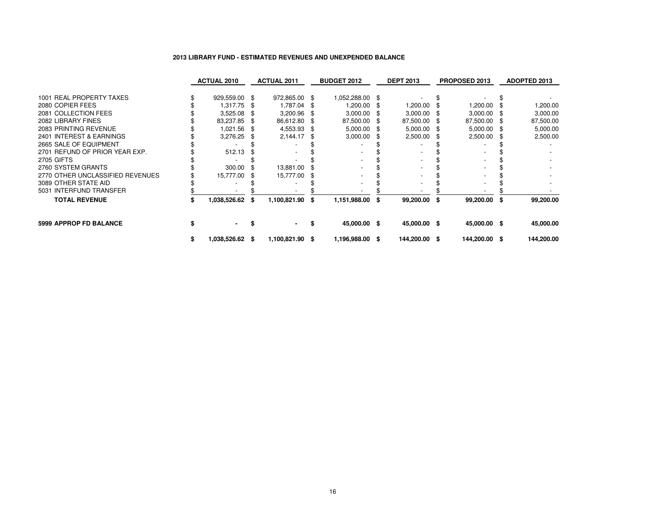|        |                    |                                                                                                                                                |                    | <b>BUDGET 2012</b>                               | <b>DEPT 2013</b>                                                                                                             |   |                                            |               | ADOPTED 2013                                                           |
|--------|--------------------|------------------------------------------------------------------------------------------------------------------------------------------------|--------------------|--------------------------------------------------|------------------------------------------------------------------------------------------------------------------------------|---|--------------------------------------------|---------------|------------------------------------------------------------------------|
|        |                    |                                                                                                                                                |                    |                                                  |                                                                                                                              |   |                                            |               |                                                                        |
|        |                    | 1,787.04                                                                                                                                       |                    |                                                  | 1,200.00                                                                                                                     |   | 1,200.00                                   |               | ,200.00                                                                |
|        |                    | 3,200.96                                                                                                                                       |                    |                                                  | 3,000.00                                                                                                                     |   |                                            |               | 3,000.00                                                               |
|        |                    | 86,612.80                                                                                                                                      |                    |                                                  | 87,500.00                                                                                                                    |   |                                            |               | 87,500.00                                                              |
|        |                    | 4,553.93                                                                                                                                       |                    |                                                  | 5,000.00                                                                                                                     |   | 5,000.00                                   |               | 5,000.00                                                               |
|        |                    | 2,144.17                                                                                                                                       |                    | 3,000.00                                         | 2,500.00                                                                                                                     |   | 2,500.00                                   |               | 2,500.00                                                               |
|        |                    |                                                                                                                                                |                    |                                                  |                                                                                                                              |   |                                            |               |                                                                        |
| 512.13 |                    |                                                                                                                                                |                    |                                                  |                                                                                                                              |   |                                            |               |                                                                        |
|        |                    |                                                                                                                                                |                    |                                                  |                                                                                                                              |   |                                            |               |                                                                        |
| 300.00 |                    | 13,881.00                                                                                                                                      |                    |                                                  |                                                                                                                              |   |                                            |               |                                                                        |
|        |                    | 15,777.00                                                                                                                                      |                    |                                                  |                                                                                                                              |   |                                            |               |                                                                        |
|        |                    |                                                                                                                                                |                    |                                                  |                                                                                                                              |   |                                            |               |                                                                        |
|        |                    |                                                                                                                                                |                    |                                                  |                                                                                                                              |   |                                            |               |                                                                        |
|        |                    |                                                                                                                                                | -S                 |                                                  |                                                                                                                              | S |                                            |               | 99,200.00                                                              |
| $\sim$ |                    |                                                                                                                                                |                    |                                                  |                                                                                                                              |   |                                            |               | 45,000.00                                                              |
|        |                    |                                                                                                                                                |                    |                                                  |                                                                                                                              |   |                                            |               | 144,200.00                                                             |
|        | <b>ACTUAL 2010</b> | 929,559.00 \$<br>1,317.75 \$<br>$3,525.08$ \$<br>83,237.85 \$<br>1,021.56 \$<br>3,276.25<br>15,777.00 \$<br>1.038.526.62 \$<br>1,038,526.62 \$ | <b>ACTUAL 2011</b> | 972,865.00 \$<br>1,100,821.90<br>1,100,821.90 \$ | 1,052,288.00 \$<br>200.00. ا<br>3,000.00<br>87,500.00<br>$5,000.00$ \$<br>1,151,988.00 \$<br>45,000.00 \$<br>1,196,988.00 \$ |   | 99,200.00<br>45,000.00 \$<br>144,200.00 \$ | PROPOSED 2013 | 3,000.00<br>87,500.00<br>99,200.00 \$<br>45,000.00 \$<br>144,200.00 \$ |

### **2013 LIBRARY FUND - ESTIMATED REVENUES AND UNEXPENDED BALANCE**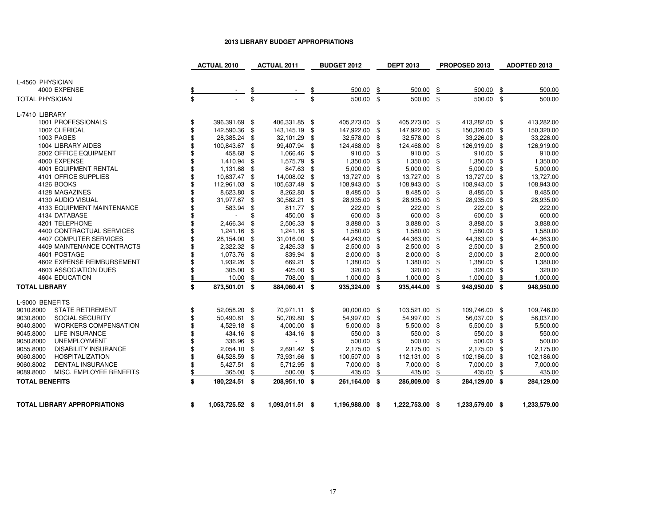# **2013 LIBRARY BUDGET APPROPRIATIONS**

|                                          | <b>ACTUAL 2010</b>             |      | <b>ACTUAL 2011</b> |      | <b>BUDGET 2012</b> |     | <b>DEPT 2013</b> |     | PROPOSED 2013   |     | ADOPTED 2013 |
|------------------------------------------|--------------------------------|------|--------------------|------|--------------------|-----|------------------|-----|-----------------|-----|--------------|
| L-4560 PHYSICIAN                         |                                |      |                    |      |                    |     |                  |     |                 |     |              |
| 4000 EXPENSE                             |                                | \$   |                    |      | 500.00             | \$  | 500.00           | \$  | 500.00          | \$  | 500.00       |
| <b>TOTAL PHYSICIAN</b>                   | \$                             | \$   |                    | \$   | 500.00 \$          |     | 500.00 \$        |     | 500.00 \$       |     | 500.00       |
| L-7410 LIBRARY                           |                                |      |                    |      |                    |     |                  |     |                 |     |              |
| 1001 PROFESSIONALS                       | \$<br>396,391.69 \$            |      | 406,331.85 \$      |      | 405,273.00 \$      |     | 405,273.00 \$    |     | 413,282.00 \$   |     | 413,282.00   |
| 1002 CLERICAL                            | \$<br>142,590.36 \$            |      | 143,145.19 \$      |      | 147,922.00 \$      |     | 147,922.00       | \$  | 150,320.00 \$   |     | 150,320.00   |
| 1003 PAGES                               | \$<br>28,385.24 \$             |      | 32,101.29          | - \$ | 32,578.00          | \$  | 32,578.00        | \$  | 33,226.00 \$    |     | 33,226.00    |
| 1004 LIBRARY AIDES                       | 100,843.67                     | - \$ | 99,407.94 \$       |      | 124,468.00         | -\$ | 124,468.00       | \$  | 126,919.00 \$   |     | 126,919.00   |
| 2002 OFFICE EQUIPMENT                    | 458.68 \$                      |      | 1,066.46           | - \$ | 910.00 \$          |     | 910.00           | \$  | 910.00 \$       |     | 910.00       |
| 4000 EXPENSE                             | \$<br>1,410.94 \$              |      | 1,575.79           | \$   | 1,350.00 \$        |     | 1,350.00         | \$  | 1,350.00 \$     |     | 1,350.00     |
| 4001 EQUIPMENT RENTAL                    | \$<br>1,131.68 \$              |      | 847.63             | -\$  | $5,000.00$ \$      |     | 5,000.00         | \$  | $5,000.00$ \$   |     | 5,000.00     |
| 4101 OFFICE SUPPLIES                     | \$<br>10,637.47 \$             |      | 14,008.02 \$       |      | 13,727.00 \$       |     | 13,727.00        | \$  | 13,727.00 \$    |     | 13,727.00    |
| 4126 BOOKS                               | \$<br>112,961.03 \$            |      | 105,637.49         | \$   | 108,943.00         | \$  | 108,943.00       | \$  | 108,943.00      | -\$ | 108,943.00   |
| 4128 MAGAZINES                           | 8,623.80 \$                    |      | 8,262.80           | \$   | 8,485.00           | \$  | 8,485.00         | \$  | 8,485.00 \$     |     | 8,485.00     |
| 4130 AUDIO VISUAL                        | 31,977.67 \$                   |      | 30,582.21 \$       |      | 28,935.00          | -\$ | 28,935.00        | \$  | 28,935.00 \$    |     | 28,935.00    |
| 4133 EQUIPMENT MAINTENANCE               | 583.94                         | \$   | 811.77 \$          |      | 222.00             | -\$ | 222.00           | \$  | 222.00 \$       |     | 222.00       |
| 4134 DATABASE                            | \$<br>$\overline{\phantom{a}}$ | \$   | 450.00             | \$   | 600.00 \$          |     | 600.00           | \$  | 600.00 \$       |     | 600.00       |
| 4201 TELEPHONE                           | 2,466.34                       | -\$  | 2,506.33           | -\$  | 3,888.00           | \$  | 3,888.00         | \$  | 3,888.00 \$     |     | 3,888.00     |
| 4400 CONTRACTUAL SERVICES                | \$<br>1,241.16                 | - \$ | 1,241.16           | - \$ | 1,580.00           | \$  | 1,580.00         | \$  | 1,580.00        | \$  | 1,580.00     |
| 4407 COMPUTER SERVICES                   | \$<br>28,154.00 \$             |      | 31,016.00          | \$   | 44,243.00          | \$  | 44,363.00        | \$  | 44,363.00 \$    |     | 44,363.00    |
| 4409 MAINTENANCE CONTRACTS               | 2,322.32 \$                    |      | 2,426.33           | \$   | 2,500.00           | \$  | 2,500.00         | \$  | 2,500.00 \$     |     | 2,500.00     |
| 4601 POSTAGE                             | \$<br>1,073.76                 | - \$ | 839.94             | -\$  | 2,000.00           | -\$ | 2,000.00         | \$  | $2,000.00$ \$   |     | 2,000.00     |
| 4602 EXPENSE REIMBURSEMENT               | \$<br>1,932.26 \$              |      | 669.21 \$          |      | 1,380.00 \$        |     | 1,380.00         | \$  | 1,380.00 \$     |     | 1,380.00     |
| 4603 ASSOCIATION DUES                    | \$<br>305.00                   | -\$  | 425.00             | \$   | 320.00             | \$  | 320.00           | \$  | 320.00 \$       |     | 320.00       |
| 4604 EDUCATION                           | \$<br>10.00                    | \$   | 708.00             | \$   | 1,000.00           |     | 1,000.00         | \$  | 1,000.00        | \$  | 1,000.00     |
| <b>TOTAL LIBRARY</b>                     | \$<br>873,501.01 \$            |      | 884,060.41 \$      |      | 935,324.00 \$      |     | 935,444.00 \$    |     | 948,950.00 \$   |     | 948,950.00   |
| L-9000 BENEFITS                          |                                |      |                    |      |                    |     |                  |     |                 |     |              |
| <b>STATE RETIREMENT</b><br>9010.8000     | \$<br>52,058.20 \$             |      | 70,971.11 \$       |      | 90,000.00 \$       |     | 103,521.00 \$    |     | 109,746.00 \$   |     | 109,746.00   |
| 9030.8000<br>SOCIAL SECURITY             | \$<br>50,490.81 \$             |      | 50,709.80 \$       |      | 54,997.00 \$       |     | 54,997.00 \$     |     | 56,037.00 \$    |     | 56,037.00    |
| 9040.8000<br><b>WORKERS COMPENSATION</b> | \$<br>4,529.18 \$              |      | 4,000.00           | -\$  | 5,000.00           | \$  | 5,500.00         | \$  | 5,500.00 \$     |     | 5,500.00     |
| 9045.8000<br><b>LIFE INSURANCE</b>       | \$<br>434.16                   | - \$ | 434.16 \$          |      | 550.00             | -\$ | 550.00           | \$  | 550.00 \$       |     | 550.00       |
| 9050.8000<br><b>UNEMPLOYMENT</b>         | \$<br>336.96                   | - \$ |                    | \$   | 500.00             | \$  | 500.00           | \$  | 500.00 \$       |     | 500.00       |
| 9055.8000<br><b>DISABILITY INSURANCE</b> | 2,054.10 \$                    |      | 2,691.42           | - \$ | 2,175.00           | \$  | 2,175.00         | \$  | 2,175.00 \$     |     | 2,175.00     |
| 9060.8000<br><b>HOSPITALIZATION</b>      | \$<br>64,528.59 \$             |      | 73,931.66 \$       |      | 100,507.00 \$      |     | 112,131.00       | \$  | 102,186.00 \$   |     | 102,186.00   |
| 9060.8002<br><b>DENTAL INSURANCE</b>     | \$<br>5,427.51                 | - \$ | 5,712.95 \$        |      | 7,000.00 \$        |     | 7,000.00         | -\$ | 7,000.00 \$     |     | 7,000.00     |
| 9089.8000<br>MISC. EMPLOYEE BENEFITS     | \$<br>365.00                   | \$   | 500.00             | \$   | 435.00             | \$  | 435.00           | \$  | 435.00          | \$  | 435.00       |
| <b>TOTAL BENEFITS</b>                    | \$<br>180,224.51 \$            |      | 208,951.10 \$      |      | 261,164.00 \$      |     | 286,809.00 \$    |     | 284,129.00 \$   |     | 284,129.00   |
| TOTAL LIBRARY APPROPRIATIONS             | \$<br>1,053,725.52 \$          |      | 1,093,011.51 \$    |      | 1,196,988.00 \$    |     | 1,222,753.00 \$  |     | 1,233,579.00 \$ |     | 1,233,579.00 |
|                                          |                                |      |                    |      |                    |     |                  |     |                 |     |              |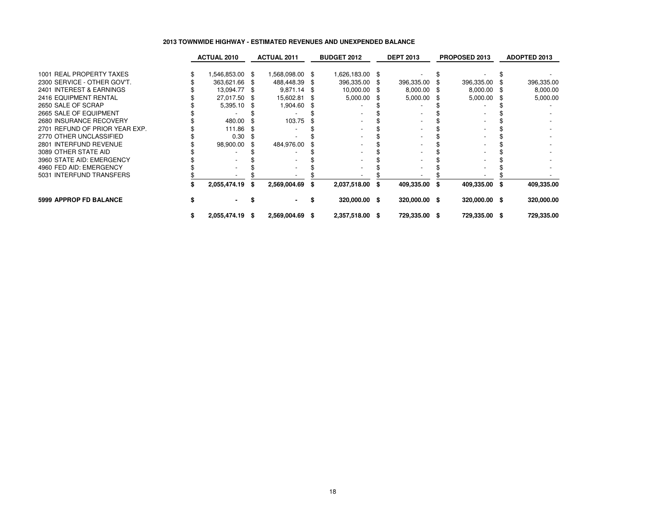# **2013 TOWNWIDE HIGHWAY - ESTIMATED REVENUES AND UNEXPENDED BALANCE**

|                                | <b>ACTUAL 2010</b> |   | <b>ACTUAL 2011</b> |      | <b>BUDGET 2012</b> |      | <b>DEPT 2013</b> |      | <b>PROPOSED 2013</b> |      | ADOPTED 2013 |
|--------------------------------|--------------------|---|--------------------|------|--------------------|------|------------------|------|----------------------|------|--------------|
| 1001 REAL PROPERTY TAXES       | 1,546,853.00 \$    |   | 1,568,098.00       | - \$ | 1,626,183.00 \$    |      |                  |      |                      |      |              |
| 2300 SERVICE - OTHER GOV'T.    | 363,621.66 \$      |   | 488,448.39         | - 96 | 396,335.00         | - \$ | 396,335.00       |      | 396,335.00           |      | 396,335.00   |
| 2401 INTEREST & EARNINGS       | 13,094.77 \$       |   | 9,871.14           | - \$ | 10,000.00 \$       |      | 8,000.00         | - 95 | 8,000.00             |      | 8,000.00     |
| 2416 EQUIPMENT RENTAL          | 27,017.50 \$       |   | 15,602.81          | - 96 | 5,000.00           |      | 5,000.00         | - \$ | 5,000.00             |      | 5,000.00     |
| 2650 SALE OF SCRAP             | $5,395.10$ \$      |   | 1,904.60           |      |                    |      |                  |      |                      |      |              |
| 2665 SALE OF EQUIPMENT         |                    |   |                    |      |                    |      |                  |      |                      |      |              |
| 2680 INSURANCE RECOVERY        | 480.00             |   | 103.75             |      |                    |      |                  |      |                      |      |              |
| 2701 REFUND OF PRIOR YEAR EXP. | 111.86             |   |                    |      |                    |      |                  |      |                      |      |              |
| 2770 OTHER UNCLASSIFIED        | 0.30               |   |                    |      |                    |      |                  |      |                      |      |              |
| 2801 INTERFUND REVENUE         | 98,900.00          |   | 484,976.00         |      |                    |      |                  |      |                      |      |              |
| 3089 OTHER STATE AID           |                    |   |                    |      |                    |      |                  |      |                      |      |              |
| 3960 STATE AID: EMERGENCY      |                    |   |                    |      |                    |      |                  |      |                      |      |              |
| 4960 FED AID: EMERGENCY        |                    |   |                    |      |                    |      |                  |      |                      |      |              |
| 5031 INTERFUND TRANSFERS       |                    |   |                    |      |                    |      |                  |      |                      |      |              |
|                                | 2,055,474.19       | S | 2,569,004.69       | S    | 2,037,518.00 \$    |      | 409,335.00       | - 36 | 409,335.00           | - \$ | 409,335.00   |
| <b>5999 APPROP FD BALANCE</b>  |                    |   |                    |      | 320,000.00 \$      |      | 320,000.00 \$    |      | 320,000.00 \$        |      | 320,000.00   |
|                                | 2,055,474.19 \$    |   | 2,569,004.69       | S.   | 2,357,518.00 \$    |      | 729,335.00 \$    |      | 729,335.00 \$        |      | 729,335.00   |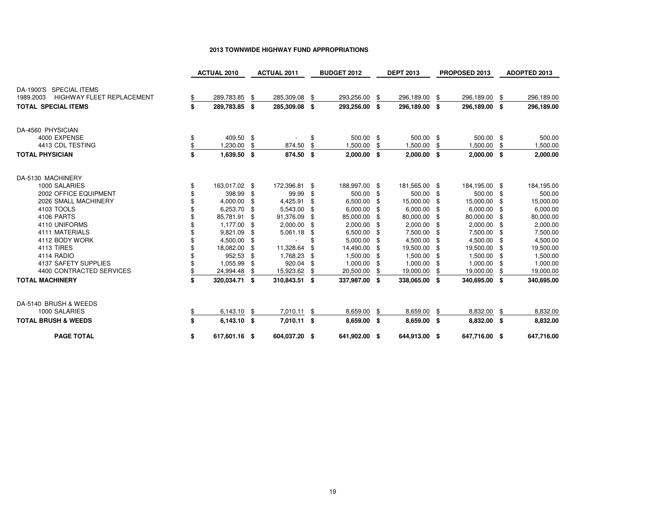|                                               | <b>ACTUAL 2010</b>  |     | <b>ACTUAL 2011</b> |      | <b>BUDGET 2012</b> |      | <b>DEPT 2013</b> |      | PROPOSED 2013 |      | <b>ADOPTED 2013</b> |
|-----------------------------------------------|---------------------|-----|--------------------|------|--------------------|------|------------------|------|---------------|------|---------------------|
| DA-1900'S SPECIAL ITEMS                       |                     |     |                    |      |                    |      |                  |      |               |      |                     |
| <b>HIGHWAY FLEET REPLACEMENT</b><br>1989.2003 | 289,783.85          | \$  | 285,309.08         | \$   | 293,256.00         | \$   | 296,189.00       | \$   | 296,189.00    | - \$ | 296,189.00          |
| <b>TOTAL SPECIAL ITEMS</b>                    | \$<br>289,783.85 \$ |     | 285,309.08 \$      |      | 293,256.00 \$      |      | 296,189.00       | \$   | 296,189.00 \$ |      | 296,189.00          |
| DA-4560 PHYSICIAN                             |                     |     |                    |      |                    |      |                  |      |               |      |                     |
| 4000 EXPENSE                                  | \$<br>409.50 \$     |     |                    | \$   | 500.00 \$          |      | 500.00 \$        |      | 500.00 \$     |      | 500.00              |
| 4413 CDL TESTING                              | 1,230.00            | \$  | 874.50             |      | 1,500.00           |      | 1,500.00         | \$   | 1,500.00      |      | 1,500.00            |
| <b>TOTAL PHYSICIAN</b>                        | \$<br>1,639.50      | -\$ | 874.50             | \$   | $2,000.00$ \$      |      | $2,000.00$ \$    |      | $2,000.00$ \$ |      | 2,000.00            |
| DA-5130 MACHINERY                             |                     |     |                    |      |                    |      |                  |      |               |      |                     |
| 1000 SALARIES                                 | \$<br>163,017.02 \$ |     | 172,396.81         | - \$ | 188,997.00 \$      |      | 181,565.00 \$    |      | 184,195.00 \$ |      | 184,195.00          |
| 2002 OFFICE EQUIPMENT                         | 398.99 \$           |     | 99.99              | -\$  | 500.00 \$          |      | 500.00           | \$   | 500.00 \$     |      | 500.00              |
| 2026 SMALL MACHINERY                          | 4,000.00            | -\$ | 4,425.91           | \$   | 6,500.00           | -\$  | 15,000.00        | \$   | 15,000.00     | -\$  | 15,000.00           |
| 4103 TOOLS                                    | 6,253.70            | -\$ | 5,543.00           | -\$  | $6,000.00$ \$      |      | 6,000.00         | \$   | 6,000.00 \$   |      | 6,000.00            |
| 4106 PARTS                                    | 85,781.91           | -\$ | 91,376.09          | \$   | 85,000.00          | - \$ | 80,000.00        | \$   | 80,000.00     | -\$  | 80,000.00           |
| 4110 UNIFORMS                                 | 1,177.00 \$         |     | 2,000.00           | - \$ | 2,000.00 \$        |      | 2,000.00         | -\$  | $2,000.00$ \$ |      | 2,000.00            |
| 4111 MATERIALS                                | 9,821.09            | -\$ | 5,061.18           | -\$  | 6,500.00           | \$   | 7,500.00         | \$   | 7,500.00      | \$   | 7,500.00            |
| 4112 BODY WORK                                | 4,500.00            | -\$ |                    |      | 5,000.00           | - \$ | 4,500.00         | \$   | 4,500.00      | -\$  | 4,500.00            |
| 4113 TIRES                                    | 18,082.00           | -\$ | 11,328.64          | \$   | 14,490.00          | ٩.   | 19,500.00        | £.   | 19,500.00     | -\$  | 19,500.00           |
| <b>4114 RADIO</b>                             | 952.53              | -\$ | 1,768.23           | \$   | 1,500.00           | \$   | 1,500.00         | \$   | 1,500.00      | -\$  | 1,500.00            |
| 4137 SAFETY SUPPLIES                          | 1,055.99            | \$  | 920.04             | -\$  | 1,000.00           | \$   | 1,000.00         | S    | 1,000.00      | \$   | 1,000.00            |
| 4400 CONTRACTED SERVICES                      | 24,994.48           | \$  | 15,923.62          | \$   | 20,500.00          |      | 19,000.00        | S    | 19,000.00     |      | 19,000.00           |
| <b>TOTAL MACHINERY</b>                        | \$<br>320,034.71 \$ |     | 310,843.51 \$      |      | 337,987.00 \$      |      | 338,065.00       | - \$ | 340,695.00 \$ |      | 340,695.00          |
| DA-5140 BRUSH & WEEDS                         |                     |     |                    |      |                    |      |                  |      |               |      |                     |
| 1000 SALARIES                                 | 6,143.10            | \$  | 7,010.11           | \$   | 8,659.00           | \$   | 8,659.00         | \$   | 8,832.00      | - \$ | 8,832.00            |
| <b>TOTAL BRUSH &amp; WEEDS</b>                | \$<br>6,143.10 \$   |     | 7,010.11 \$        |      | 8,659.00 \$        |      | 8,659.00 \$      |      | 8,832.00 \$   |      | 8,832.00            |
| <b>PAGE TOTAL</b>                             | \$<br>617,601.16 \$ |     | 604,037.20 \$      |      | 641,902.00 \$      |      | 644,913.00 \$    |      | 647,716.00 \$ |      | 647,716.00          |

#### **2013 TOWNWIDE HIGHWAY FUND APPROPRIATIONS**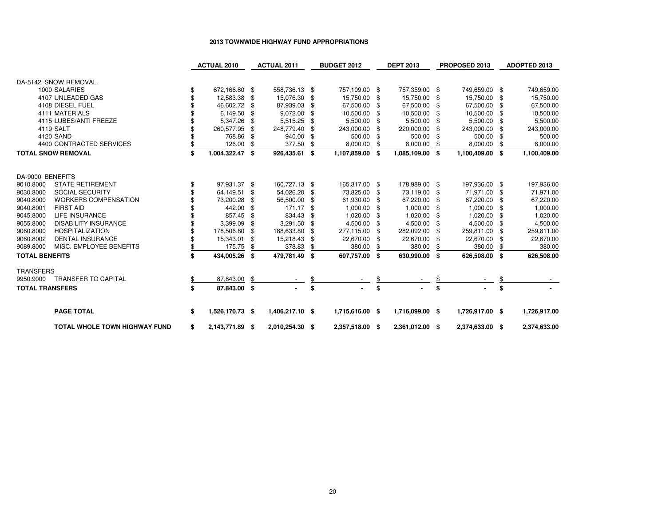# **2013 TOWNWIDE HIGHWAY FUND APPROPRIATIONS**

|                        |                                      | <b>ACTUAL 2010</b>    |      | <b>ACTUAL 2011</b> |     | <b>BUDGET 2012</b> | <b>DEPT 2013</b> |      | PROPOSED 2013   |                | <b>ADOPTED 2013</b> |
|------------------------|--------------------------------------|-----------------------|------|--------------------|-----|--------------------|------------------|------|-----------------|----------------|---------------------|
|                        | DA-5142 SNOW REMOVAL                 |                       |      |                    |     |                    |                  |      |                 |                |                     |
|                        | 1000 SALARIES                        | \$<br>672,166.80 \$   |      | 558,736.13 \$      |     | 757,109.00 \$      | 757,359.00 \$    |      | 749,659.00 \$   |                | 749,659.00          |
|                        | 4107 UNLEADED GAS                    | 12,583.38 \$          |      | 15,076.30 \$       |     | 15,750.00 \$       | 15,750.00        | \$   | 15,750.00       | $\mathfrak{F}$ | 15,750.00           |
|                        | 4108 DIESEL FUEL                     | 46,602.72 \$          |      | 87,939.03          | \$  | 67,500.00 \$       | 67,500.00        | \$   | 67,500.00 \$    |                | 67,500.00           |
|                        | 4111 MATERIALS                       | 6,149.50              | -\$  | 9,072.00           | \$  | 10,500.00          | \$<br>10,500.00  | \$   | 10,500.00       | \$             | 10,500.00           |
|                        | 4115 LUBES/ANTI FREEZE               | 5,347.26 \$           |      | 5,515.25           | \$  | 5,500.00           | \$<br>5,500.00   | -\$  | 5,500.00        | -\$            | 5,500.00            |
|                        | 4119 SALT                            | 260,577.95            | - \$ | 248,779.40         | \$  | 243,000.00         | \$<br>220,000.00 | \$   | 243,000.00      | \$             | 243,000.00          |
|                        | 4120 SAND                            | 768.86                | -\$  | 940.00 \$          |     | 500.00 \$          | 500.00           | - \$ | 500.00          | \$             | 500.00              |
|                        | 4400 CONTRACTED SERVICES             | 126.00                | \$   | 377.50             | \$  | 8,000.00           | \$<br>8,000.00   | \$   | 8,000.00        | \$             | 8,000.00            |
|                        | <b>TOTAL SNOW REMOVAL</b>            | \$<br>1,004,322.47 \$ |      | 926,435.61 \$      |     | 1,107,859.00 \$    | 1,085,109.00 \$  |      | 1,100,409.00 \$ |                | 1,100,409.00        |
|                        |                                      |                       |      |                    |     |                    |                  |      |                 |                |                     |
| DA-9000 BENEFITS       |                                      |                       |      |                    |     |                    |                  |      |                 |                |                     |
| 9010.8000              | <b>STATE RETIREMENT</b>              | 97,931.37 \$          |      | 160,727.13 \$      |     | 165,317.00 \$      | 178,989.00 \$    |      | 197,936.00 \$   |                | 197,936.00          |
| 9030.8000              | <b>SOCIAL SECURITY</b>               | 64,149.51 \$          |      | 54,026.20 \$       |     | 73,825.00 \$       | 73,119.00 \$     |      | 71,971.00 \$    |                | 71,971.00           |
| 9040.8000              | <b>WORKERS COMPENSATION</b>          | 73,200.28 \$          |      | 56,500.00          | -\$ | 61,930.00          | \$<br>67,220.00  | \$   | 67,220.00       | -\$            | 67,220.00           |
| 9040.8001              | <b>FIRST AID</b>                     | 442.00                | - \$ | 171.17 \$          |     | 1,000.00           | \$<br>1,000.00   | -\$  | 1,000.00        | -\$            | 1,000.00            |
| 9045.8000              | <b>LIFE INSURANCE</b>                | 857.45                | -\$  | 834.43             | -\$ | 1,020.00 \$        | 1,020.00         | -\$  | 1,020.00        | -\$            | 1,020.00            |
| 9055.8000              | <b>DISABILITY INSURANCE</b>          | 3,399.09              | -\$  | 3,291.50 \$        |     | 4,500.00 \$        | 4,500.00 \$      |      | 4,500.00        | -\$            | 4,500.00            |
| 9060.8000              | <b>HOSPITALIZATION</b>               | 178,506.80            | -\$  | 188,633.80         | -\$ | 277,115.00 \$      | 282,092.00       | -SS  | 259,811.00      | \$             | 259,811.00          |
| 9060.8002              | <b>DENTAL INSURANCE</b>              | 15,343.01             | \$   | 15,218.43          | \$  | 22,670.00          | \$<br>22,670.00  | \$   | 22,670.00       | \$             | 22,670.00           |
| 9089.8000              | MISC. EMPLOYEE BENEFITS              | 175.75                | \$   | 378.83             |     | 380.00             | 380.00           |      | 380.00          |                | 380.00              |
| <b>TOTAL BENEFITS</b>  |                                      | 434,005.26 \$         |      | 479,781.49 \$      |     | 607,757.00 \$      | 630,990.00       | -\$  | 626,508.00 \$   |                | 626,508.00          |
| <b>TRANSFERS</b>       |                                      |                       |      |                    |     |                    |                  |      |                 |                |                     |
| 9950.9000              | <b>TRANSFER TO CAPITAL</b>           | 87,843.00             | -\$  |                    |     |                    |                  |      |                 |                |                     |
| <b>TOTAL TRANSFERS</b> |                                      | \$<br>87,843.00 \$    |      |                    | \$  |                    | \$               | \$   |                 | \$             |                     |
|                        | <b>PAGE TOTAL</b>                    | \$<br>1,526,170.73 \$ |      | 1,406,217.10 \$    |     | 1,715,616.00 \$    | 1,716,099.00 \$  |      | 1,726,917.00 \$ |                | 1,726,917.00        |
|                        |                                      |                       |      |                    |     |                    |                  |      |                 |                |                     |
|                        | <b>TOTAL WHOLE TOWN HIGHWAY FUND</b> | \$<br>2,143,771.89 \$ |      | 2,010,254.30 \$    |     | 2,357,518.00 \$    | 2,361,012.00 \$  |      | 2,374,633.00 \$ |                | 2,374,633.00        |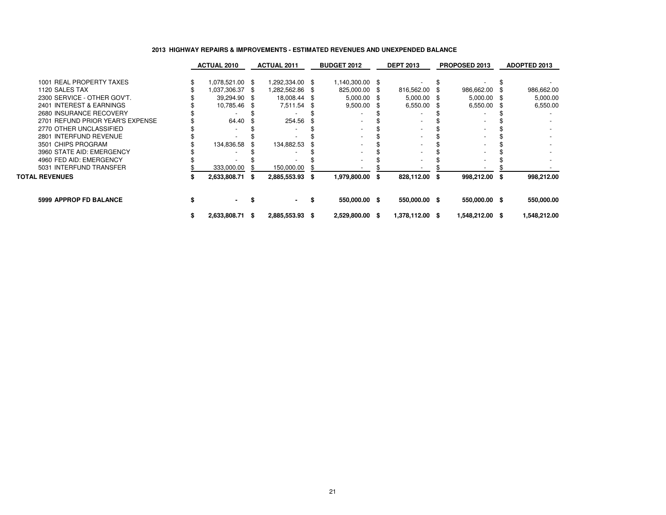# **2013 HIGHWAY REPAIRS & IMPROVEMENTS - ESTIMATED REVENUES AND UNEXPENDED BALANCE**

|                                  | <b>ACTUAL 2010</b> |     | <b>ACTUAL 2011</b> | <b>BUDGET 2012</b> | <b>DEPT 2013</b> | <b>PROPOSED 2013</b> |    | ADOPTED 2013 |
|----------------------------------|--------------------|-----|--------------------|--------------------|------------------|----------------------|----|--------------|
| 1001 REAL PROPERTY TAXES         | 1,078,521.00 \$    |     | 1,292,334.00 \$    | 1,140,300.00 \$    |                  |                      |    |              |
| 1120 SALES TAX                   | 1,037,306.37 \$    |     | 8 282,562.86 \,    | 825,000.00 \$      | 816,562.00       | 986,662.00           |    | 986,662.00   |
| 2300 SERVICE - OTHER GOV'T.      | 39,294.90 \$       |     | 18,008.44 \$       | $5,000.00$ \$      | 5,000.00         | $5,000.00$ \$        |    | 5,000.00     |
| 2401 INTEREST & EARNINGS         | 10,785.46 \$       |     | 7,511.54 \$        | $9,500.00$ \$      | 6,550.00         | 6,550.00             | -S | 6,550.00     |
| 2680 INSURANCE RECOVERY          |                    |     |                    |                    |                  |                      |    |              |
| 2701 REFUND PRIOR YEAR'S EXPENSE | 64.40              |     | 254.56             |                    |                  |                      |    |              |
| 2770 OTHER UNCLASSIFIED          |                    |     |                    |                    |                  |                      |    |              |
| 2801 INTERFUND REVENUE           |                    |     |                    |                    |                  |                      |    |              |
| 3501 CHIPS PROGRAM               | 134,836.58         |     | 134,882.53         |                    |                  |                      |    |              |
| 3960 STATE AID: EMERGENCY        |                    |     |                    |                    |                  |                      |    |              |
| 4960 FED AID: EMERGENCY          |                    |     |                    |                    |                  |                      |    |              |
| 5031 INTERFUND TRANSFER          | 333,000.00         |     | 150,000.00         |                    |                  |                      |    |              |
| <b>TOTAL REVENUES</b>            | 2,633,808.71       | - S | 2,885,553.93 \$    | 1,979,800.00 \$    | 828,112.00 \$    | 998,212.00 \$        |    | 998,212.00   |
| 5999 APPROP FD BALANCE           | ۰.                 |     |                    | 550,000.00 \$      | 550,000.00 \$    | 550,000.00 \$        |    | 550,000.00   |
|                                  | 2,633,808.71 \$    |     | 2,885,553.93 \$    | 2,529,800.00 \$    | 1,378,112.00 \$  | 1,548,212.00 \$      |    | 1,548,212.00 |